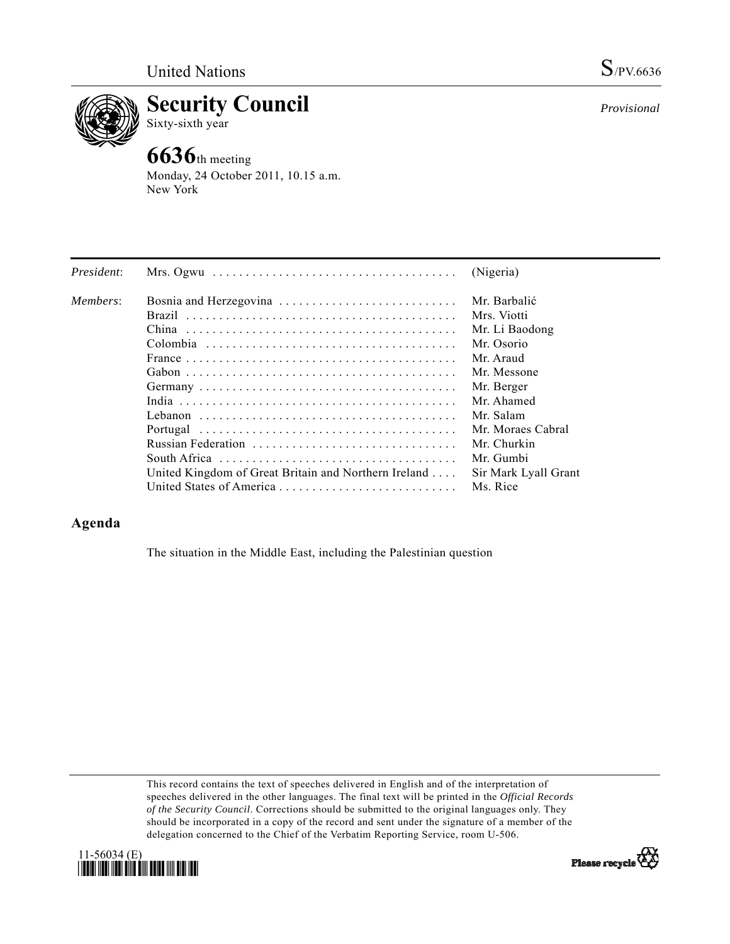

**Security Council**  Sixty-sixth year

# **6636**th meeting

Monday, 24 October 2011, 10.15 a.m. New York

| President: | Mrs. Ogwu $\ldots \ldots \ldots \ldots \ldots \ldots \ldots \ldots \ldots \ldots \ldots$     | (Nigeria)            |
|------------|----------------------------------------------------------------------------------------------|----------------------|
| Members:   | Bosnia and Herzegovina                                                                       | Mr. Barbalić         |
|            |                                                                                              | Mrs. Viotti          |
|            |                                                                                              | Mr. Li Baodong       |
|            |                                                                                              | Mr. Osorio           |
|            | France $\ldots \ldots \ldots \ldots \ldots \ldots \ldots \ldots \ldots \ldots \ldots \ldots$ | Mr Araud             |
|            |                                                                                              | Mr. Messone          |
|            |                                                                                              | Mr. Berger           |
|            |                                                                                              | Mr. Ahamed           |
|            |                                                                                              | Mr. Salam            |
|            |                                                                                              | Mr. Moraes Cabral    |
|            | Russian Federation                                                                           | Mr. Churkin          |
|            |                                                                                              | Mr. Gumbi            |
|            | United Kingdom of Great Britain and Northern Ireland                                         | Sir Mark Lyall Grant |
|            |                                                                                              | Ms. Rice             |

## **Agenda**

The situation in the Middle East, including the Palestinian question

This record contains the text of speeches delivered in English and of the interpretation of speeches delivered in the other languages. The final text will be printed in the *Official Records of the Security Council*. Corrections should be submitted to the original languages only. They should be incorporated in a copy of the record and sent under the signature of a member of the delegation concerned to the Chief of the Verbatim Reporting Service, room U-506.





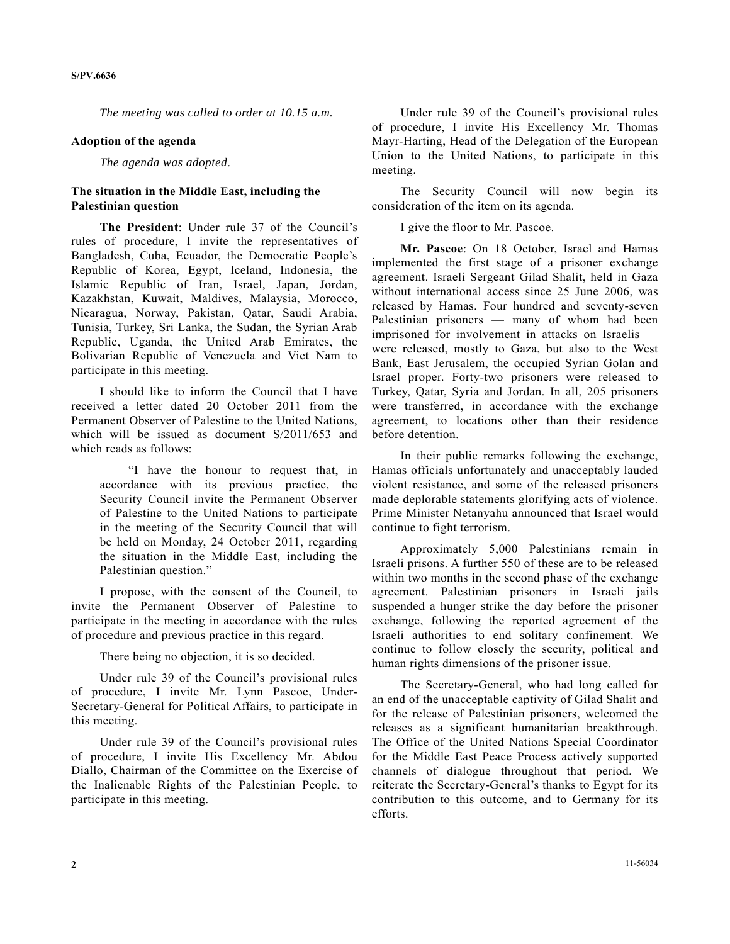*The meeting was called to order at 10.15 a.m.* 

#### **Adoption of the agenda**

*The agenda was adopted*.

### **The situation in the Middle East, including the Palestinian question**

**The President**: Under rule 37 of the Council's rules of procedure, I invite the representatives of Bangladesh, Cuba, Ecuador, the Democratic People's Republic of Korea, Egypt, Iceland, Indonesia, the Islamic Republic of Iran, Israel, Japan, Jordan, Kazakhstan, Kuwait, Maldives, Malaysia, Morocco, Nicaragua, Norway, Pakistan, Qatar, Saudi Arabia, Tunisia, Turkey, Sri Lanka, the Sudan, the Syrian Arab Republic, Uganda, the United Arab Emirates, the Bolivarian Republic of Venezuela and Viet Nam to participate in this meeting.

 I should like to inform the Council that I have received a letter dated 20 October 2011 from the Permanent Observer of Palestine to the United Nations, which will be issued as document S/2011/653 and which reads as follows:

 "I have the honour to request that, in accordance with its previous practice, the Security Council invite the Permanent Observer of Palestine to the United Nations to participate in the meeting of the Security Council that will be held on Monday, 24 October 2011, regarding the situation in the Middle East, including the Palestinian question."

 I propose, with the consent of the Council, to invite the Permanent Observer of Palestine to participate in the meeting in accordance with the rules of procedure and previous practice in this regard.

There being no objection, it is so decided.

 Under rule 39 of the Council's provisional rules of procedure, I invite Mr. Lynn Pascoe, Under-Secretary-General for Political Affairs, to participate in this meeting.

 Under rule 39 of the Council's provisional rules of procedure, I invite His Excellency Mr. Abdou Diallo, Chairman of the Committee on the Exercise of the Inalienable Rights of the Palestinian People, to participate in this meeting.

 Under rule 39 of the Council's provisional rules of procedure, I invite His Excellency Mr. Thomas Mayr-Harting, Head of the Delegation of the European Union to the United Nations, to participate in this meeting.

 The Security Council will now begin its consideration of the item on its agenda.

I give the floor to Mr. Pascoe.

**Mr. Pascoe**: On 18 October, Israel and Hamas implemented the first stage of a prisoner exchange agreement. Israeli Sergeant Gilad Shalit, held in Gaza without international access since 25 June 2006, was released by Hamas. Four hundred and seventy-seven Palestinian prisoners — many of whom had been imprisoned for involvement in attacks on Israelis were released, mostly to Gaza, but also to the West Bank, East Jerusalem, the occupied Syrian Golan and Israel proper. Forty-two prisoners were released to Turkey, Qatar, Syria and Jordan. In all, 205 prisoners were transferred, in accordance with the exchange agreement, to locations other than their residence before detention.

 In their public remarks following the exchange, Hamas officials unfortunately and unacceptably lauded violent resistance, and some of the released prisoners made deplorable statements glorifying acts of violence. Prime Minister Netanyahu announced that Israel would continue to fight terrorism.

 Approximately 5,000 Palestinians remain in Israeli prisons. A further 550 of these are to be released within two months in the second phase of the exchange agreement. Palestinian prisoners in Israeli jails suspended a hunger strike the day before the prisoner exchange, following the reported agreement of the Israeli authorities to end solitary confinement. We continue to follow closely the security, political and human rights dimensions of the prisoner issue.

 The Secretary-General, who had long called for an end of the unacceptable captivity of Gilad Shalit and for the release of Palestinian prisoners, welcomed the releases as a significant humanitarian breakthrough. The Office of the United Nations Special Coordinator for the Middle East Peace Process actively supported channels of dialogue throughout that period. We reiterate the Secretary-General's thanks to Egypt for its contribution to this outcome, and to Germany for its efforts.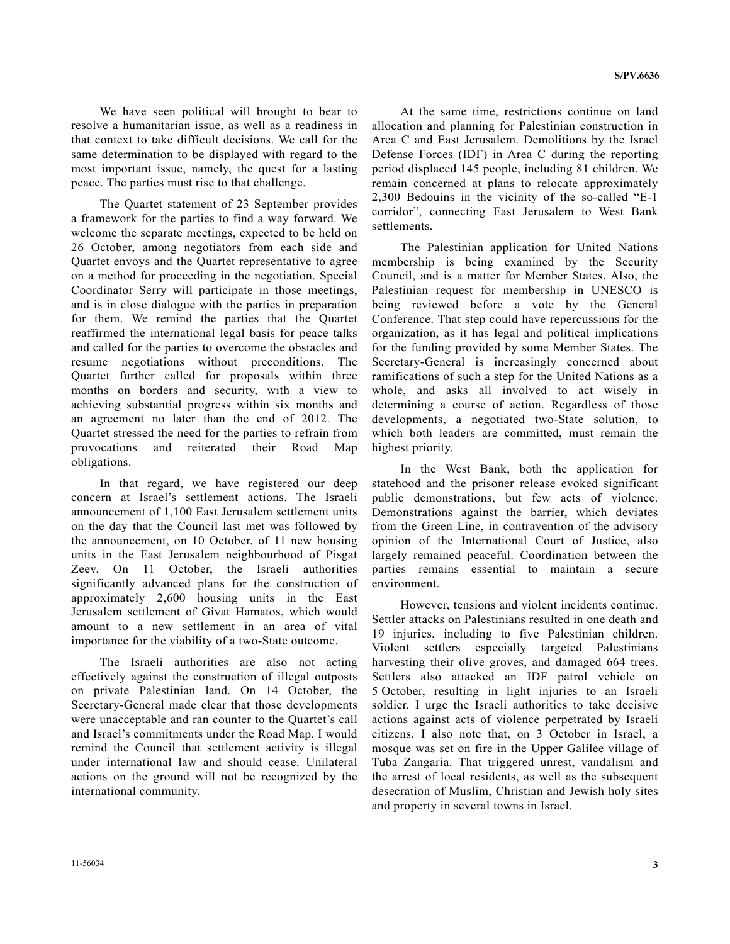We have seen political will brought to bear to resolve a humanitarian issue, as well as a readiness in that context to take difficult decisions. We call for the same determination to be displayed with regard to the most important issue, namely, the quest for a lasting peace. The parties must rise to that challenge.

 The Quartet statement of 23 September provides a framework for the parties to find a way forward. We welcome the separate meetings, expected to be held on 26 October, among negotiators from each side and Quartet envoys and the Quartet representative to agree on a method for proceeding in the negotiation. Special Coordinator Serry will participate in those meetings, and is in close dialogue with the parties in preparation for them. We remind the parties that the Quartet reaffirmed the international legal basis for peace talks and called for the parties to overcome the obstacles and resume negotiations without preconditions. The Quartet further called for proposals within three months on borders and security, with a view to achieving substantial progress within six months and an agreement no later than the end of 2012. The Quartet stressed the need for the parties to refrain from provocations and reiterated their Road Map obligations.

 In that regard, we have registered our deep concern at Israel's settlement actions. The Israeli announcement of 1,100 East Jerusalem settlement units on the day that the Council last met was followed by the announcement, on 10 October, of 11 new housing units in the East Jerusalem neighbourhood of Pisgat Zeev. On 11 October, the Israeli authorities significantly advanced plans for the construction of approximately 2,600 housing units in the East Jerusalem settlement of Givat Hamatos, which would amount to a new settlement in an area of vital importance for the viability of a two-State outcome.

 The Israeli authorities are also not acting effectively against the construction of illegal outposts on private Palestinian land. On 14 October, the Secretary-General made clear that those developments were unacceptable and ran counter to the Quartet's call and Israel's commitments under the Road Map. I would remind the Council that settlement activity is illegal under international law and should cease. Unilateral actions on the ground will not be recognized by the international community.

 At the same time, restrictions continue on land allocation and planning for Palestinian construction in Area C and East Jerusalem. Demolitions by the Israel Defense Forces (IDF) in Area C during the reporting period displaced 145 people, including 81 children. We remain concerned at plans to relocate approximately 2,300 Bedouins in the vicinity of the so-called "E-1 corridor", connecting East Jerusalem to West Bank settlements.

 The Palestinian application for United Nations membership is being examined by the Security Council, and is a matter for Member States. Also, the Palestinian request for membership in UNESCO is being reviewed before a vote by the General Conference. That step could have repercussions for the organization, as it has legal and political implications for the funding provided by some Member States. The Secretary-General is increasingly concerned about ramifications of such a step for the United Nations as a whole, and asks all involved to act wisely in determining a course of action. Regardless of those developments, a negotiated two-State solution, to which both leaders are committed, must remain the highest priority.

 In the West Bank, both the application for statehood and the prisoner release evoked significant public demonstrations, but few acts of violence. Demonstrations against the barrier, which deviates from the Green Line, in contravention of the advisory opinion of the International Court of Justice, also largely remained peaceful. Coordination between the parties remains essential to maintain a secure environment.

 However, tensions and violent incidents continue. Settler attacks on Palestinians resulted in one death and 19 injuries, including to five Palestinian children. Violent settlers especially targeted Palestinians harvesting their olive groves, and damaged 664 trees. Settlers also attacked an IDF patrol vehicle on 5 October, resulting in light injuries to an Israeli soldier. I urge the Israeli authorities to take decisive actions against acts of violence perpetrated by Israeli citizens. I also note that, on 3 October in Israel, a mosque was set on fire in the Upper Galilee village of Tuba Zangaria. That triggered unrest, vandalism and the arrest of local residents, as well as the subsequent desecration of Muslim, Christian and Jewish holy sites and property in several towns in Israel.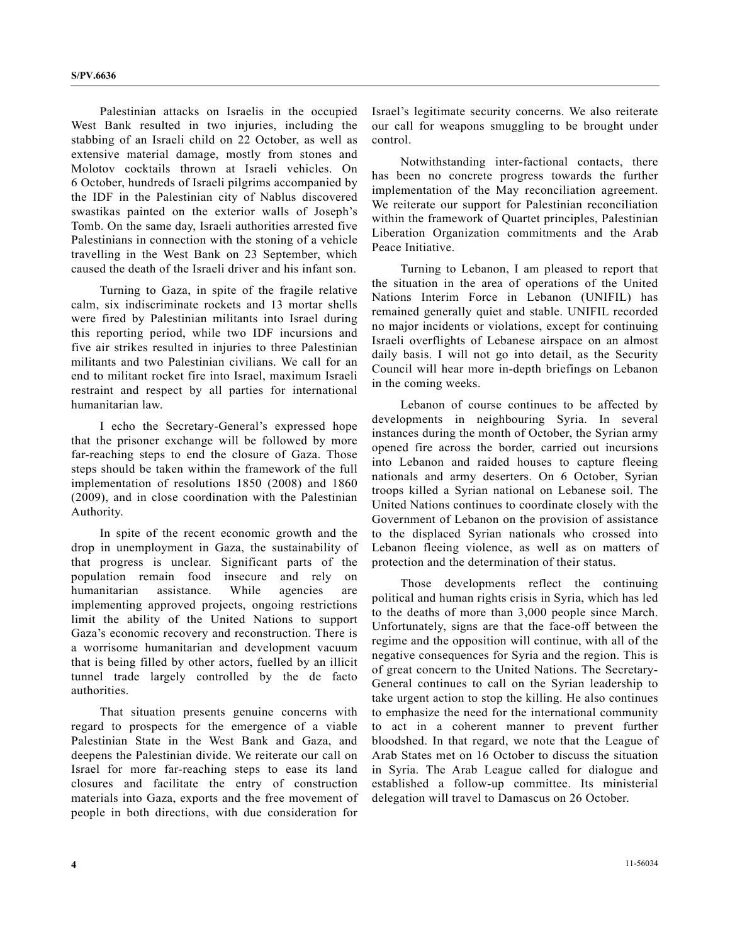Palestinian attacks on Israelis in the occupied West Bank resulted in two injuries, including the stabbing of an Israeli child on 22 October, as well as extensive material damage, mostly from stones and Molotov cocktails thrown at Israeli vehicles. On 6 October, hundreds of Israeli pilgrims accompanied by the IDF in the Palestinian city of Nablus discovered swastikas painted on the exterior walls of Joseph's Tomb. On the same day, Israeli authorities arrested five Palestinians in connection with the stoning of a vehicle travelling in the West Bank on 23 September, which caused the death of the Israeli driver and his infant son.

 Turning to Gaza, in spite of the fragile relative calm, six indiscriminate rockets and 13 mortar shells were fired by Palestinian militants into Israel during this reporting period, while two IDF incursions and five air strikes resulted in injuries to three Palestinian militants and two Palestinian civilians. We call for an end to militant rocket fire into Israel, maximum Israeli restraint and respect by all parties for international humanitarian law.

 I echo the Secretary-General's expressed hope that the prisoner exchange will be followed by more far-reaching steps to end the closure of Gaza. Those steps should be taken within the framework of the full implementation of resolutions 1850 (2008) and 1860 (2009), and in close coordination with the Palestinian Authority.

 In spite of the recent economic growth and the drop in unemployment in Gaza, the sustainability of that progress is unclear. Significant parts of the population remain food insecure and rely on humanitarian assistance. While agencies are implementing approved projects, ongoing restrictions limit the ability of the United Nations to support Gaza's economic recovery and reconstruction. There is a worrisome humanitarian and development vacuum that is being filled by other actors, fuelled by an illicit tunnel trade largely controlled by the de facto authorities.

 That situation presents genuine concerns with regard to prospects for the emergence of a viable Palestinian State in the West Bank and Gaza, and deepens the Palestinian divide. We reiterate our call on Israel for more far-reaching steps to ease its land closures and facilitate the entry of construction materials into Gaza, exports and the free movement of people in both directions, with due consideration for

Israel's legitimate security concerns. We also reiterate our call for weapons smuggling to be brought under control.

 Notwithstanding inter-factional contacts, there has been no concrete progress towards the further implementation of the May reconciliation agreement. We reiterate our support for Palestinian reconciliation within the framework of Quartet principles, Palestinian Liberation Organization commitments and the Arab Peace Initiative.

 Turning to Lebanon, I am pleased to report that the situation in the area of operations of the United Nations Interim Force in Lebanon (UNIFIL) has remained generally quiet and stable. UNIFIL recorded no major incidents or violations, except for continuing Israeli overflights of Lebanese airspace on an almost daily basis. I will not go into detail, as the Security Council will hear more in-depth briefings on Lebanon in the coming weeks.

 Lebanon of course continues to be affected by developments in neighbouring Syria. In several instances during the month of October, the Syrian army opened fire across the border, carried out incursions into Lebanon and raided houses to capture fleeing nationals and army deserters. On 6 October, Syrian troops killed a Syrian national on Lebanese soil. The United Nations continues to coordinate closely with the Government of Lebanon on the provision of assistance to the displaced Syrian nationals who crossed into Lebanon fleeing violence, as well as on matters of protection and the determination of their status.

 Those developments reflect the continuing political and human rights crisis in Syria, which has led to the deaths of more than 3,000 people since March. Unfortunately, signs are that the face-off between the regime and the opposition will continue, with all of the negative consequences for Syria and the region. This is of great concern to the United Nations. The Secretary-General continues to call on the Syrian leadership to take urgent action to stop the killing. He also continues to emphasize the need for the international community to act in a coherent manner to prevent further bloodshed. In that regard, we note that the League of Arab States met on 16 October to discuss the situation in Syria. The Arab League called for dialogue and established a follow-up committee. Its ministerial delegation will travel to Damascus on 26 October.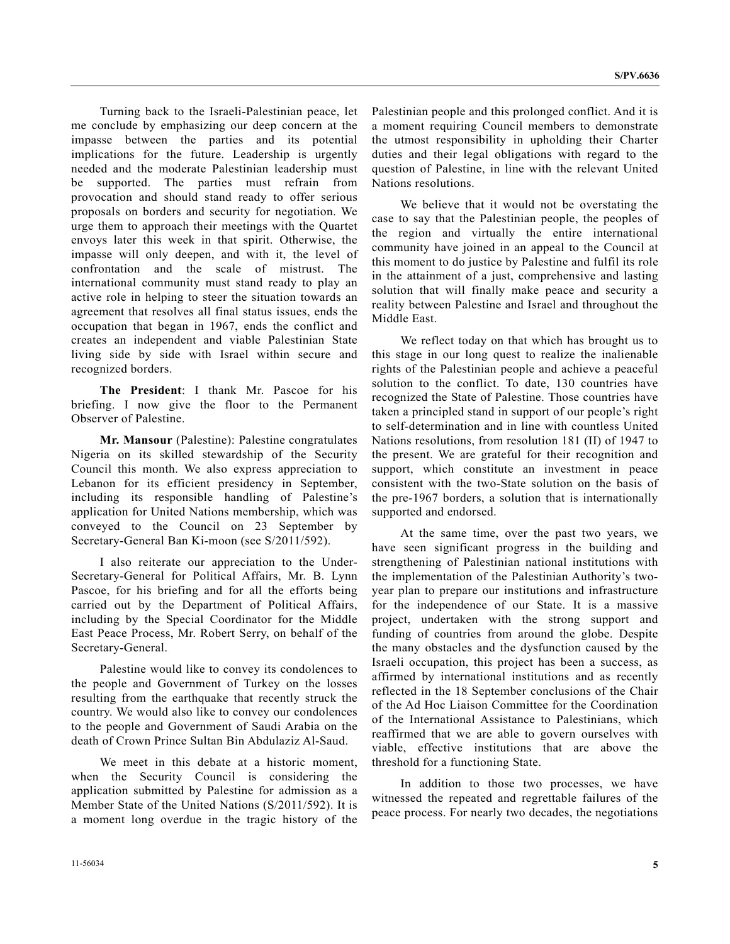Turning back to the Israeli-Palestinian peace, let me conclude by emphasizing our deep concern at the impasse between the parties and its potential implications for the future. Leadership is urgently needed and the moderate Palestinian leadership must be supported. The parties must refrain from provocation and should stand ready to offer serious proposals on borders and security for negotiation. We urge them to approach their meetings with the Quartet envoys later this week in that spirit. Otherwise, the impasse will only deepen, and with it, the level of confrontation and the scale of mistrust. The international community must stand ready to play an active role in helping to steer the situation towards an agreement that resolves all final status issues, ends the occupation that began in 1967, ends the conflict and creates an independent and viable Palestinian State living side by side with Israel within secure and recognized borders.

**The President**: I thank Mr. Pascoe for his briefing. I now give the floor to the Permanent Observer of Palestine.

**Mr. Mansour** (Palestine): Palestine congratulates Nigeria on its skilled stewardship of the Security Council this month. We also express appreciation to Lebanon for its efficient presidency in September, including its responsible handling of Palestine's application for United Nations membership, which was conveyed to the Council on 23 September by Secretary-General Ban Ki-moon (see S/2011/592).

 I also reiterate our appreciation to the Under-Secretary-General for Political Affairs, Mr. B. Lynn Pascoe, for his briefing and for all the efforts being carried out by the Department of Political Affairs, including by the Special Coordinator for the Middle East Peace Process, Mr. Robert Serry, on behalf of the Secretary-General.

 Palestine would like to convey its condolences to the people and Government of Turkey on the losses resulting from the earthquake that recently struck the country. We would also like to convey our condolences to the people and Government of Saudi Arabia on the death of Crown Prince Sultan Bin Abdulaziz Al-Saud.

 We meet in this debate at a historic moment, when the Security Council is considering the application submitted by Palestine for admission as a Member State of the United Nations (S/2011/592). It is a moment long overdue in the tragic history of the

Palestinian people and this prolonged conflict. And it is a moment requiring Council members to demonstrate the utmost responsibility in upholding their Charter duties and their legal obligations with regard to the question of Palestine, in line with the relevant United Nations resolutions.

 We believe that it would not be overstating the case to say that the Palestinian people, the peoples of the region and virtually the entire international community have joined in an appeal to the Council at this moment to do justice by Palestine and fulfil its role in the attainment of a just, comprehensive and lasting solution that will finally make peace and security a reality between Palestine and Israel and throughout the Middle East.

 We reflect today on that which has brought us to this stage in our long quest to realize the inalienable rights of the Palestinian people and achieve a peaceful solution to the conflict. To date, 130 countries have recognized the State of Palestine. Those countries have taken a principled stand in support of our people's right to self-determination and in line with countless United Nations resolutions, from resolution 181 (II) of 1947 to the present. We are grateful for their recognition and support, which constitute an investment in peace consistent with the two-State solution on the basis of the pre-1967 borders, a solution that is internationally supported and endorsed.

 At the same time, over the past two years, we have seen significant progress in the building and strengthening of Palestinian national institutions with the implementation of the Palestinian Authority's twoyear plan to prepare our institutions and infrastructure for the independence of our State. It is a massive project, undertaken with the strong support and funding of countries from around the globe. Despite the many obstacles and the dysfunction caused by the Israeli occupation, this project has been a success, as affirmed by international institutions and as recently reflected in the 18 September conclusions of the Chair of the Ad Hoc Liaison Committee for the Coordination of the International Assistance to Palestinians, which reaffirmed that we are able to govern ourselves with viable, effective institutions that are above the threshold for a functioning State.

 In addition to those two processes, we have witnessed the repeated and regrettable failures of the peace process. For nearly two decades, the negotiations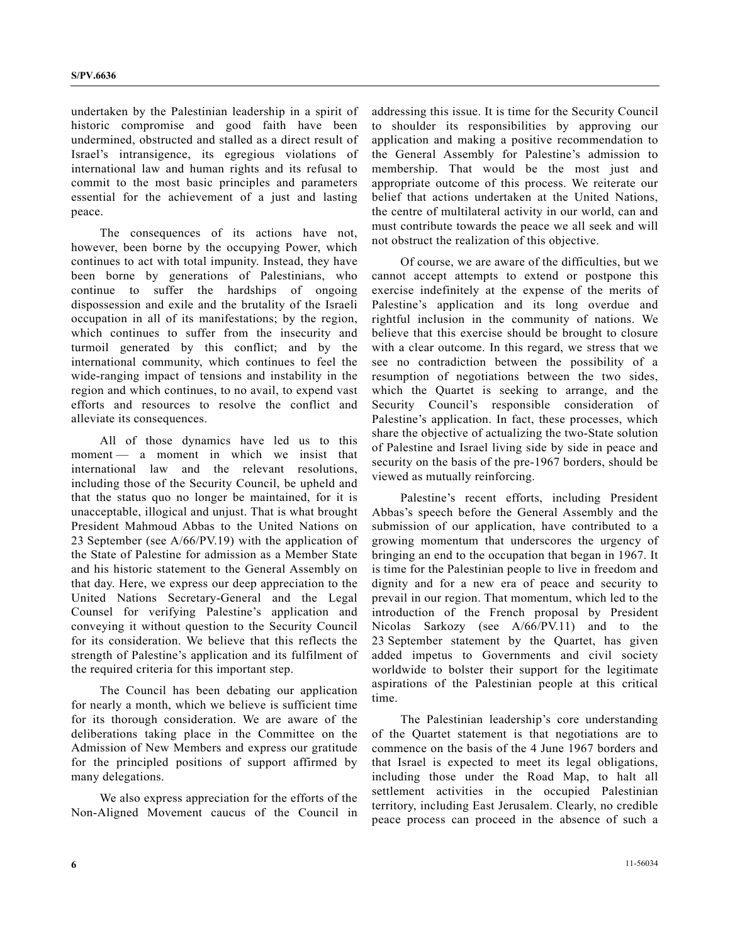undertaken by the Palestinian leadership in a spirit of historic compromise and good faith have been undermined, obstructed and stalled as a direct result of Israel's intransigence, its egregious violations of international law and human rights and its refusal to commit to the most basic principles and parameters essential for the achievement of a just and lasting peace.

 The consequences of its actions have not, however, been borne by the occupying Power, which continues to act with total impunity. Instead, they have been borne by generations of Palestinians, who continue to suffer the hardships of ongoing dispossession and exile and the brutality of the Israeli occupation in all of its manifestations; by the region, which continues to suffer from the insecurity and turmoil generated by this conflict; and by the international community, which continues to feel the wide-ranging impact of tensions and instability in the region and which continues, to no avail, to expend vast efforts and resources to resolve the conflict and alleviate its consequences.

 All of those dynamics have led us to this moment — a moment in which we insist that international law and the relevant resolutions, including those of the Security Council, be upheld and that the status quo no longer be maintained, for it is unacceptable, illogical and unjust. That is what brought President Mahmoud Abbas to the United Nations on 23 September (see A/66/PV.19) with the application of the State of Palestine for admission as a Member State and his historic statement to the General Assembly on that day. Here, we express our deep appreciation to the United Nations Secretary-General and the Legal Counsel for verifying Palestine's application and conveying it without question to the Security Council for its consideration. We believe that this reflects the strength of Palestine's application and its fulfilment of the required criteria for this important step.

 The Council has been debating our application for nearly a month, which we believe is sufficient time for its thorough consideration. We are aware of the deliberations taking place in the Committee on the Admission of New Members and express our gratitude for the principled positions of support affirmed by many delegations.

 We also express appreciation for the efforts of the Non-Aligned Movement caucus of the Council in addressing this issue. It is time for the Security Council to shoulder its responsibilities by approving our application and making a positive recommendation to the General Assembly for Palestine's admission to membership. That would be the most just and appropriate outcome of this process. We reiterate our belief that actions undertaken at the United Nations, the centre of multilateral activity in our world, can and must contribute towards the peace we all seek and will not obstruct the realization of this objective.

 Of course, we are aware of the difficulties, but we cannot accept attempts to extend or postpone this exercise indefinitely at the expense of the merits of Palestine's application and its long overdue and rightful inclusion in the community of nations. We believe that this exercise should be brought to closure with a clear outcome. In this regard, we stress that we see no contradiction between the possibility of a resumption of negotiations between the two sides, which the Quartet is seeking to arrange, and the Security Council's responsible consideration of Palestine's application. In fact, these processes, which share the objective of actualizing the two-State solution of Palestine and Israel living side by side in peace and security on the basis of the pre-1967 borders, should be viewed as mutually reinforcing.

 Palestine's recent efforts, including President Abbas's speech before the General Assembly and the submission of our application, have contributed to a growing momentum that underscores the urgency of bringing an end to the occupation that began in 1967. It is time for the Palestinian people to live in freedom and dignity and for a new era of peace and security to prevail in our region. That momentum, which led to the introduction of the French proposal by President Nicolas Sarkozy (see A/66/PV.11) and to the 23 September statement by the Quartet, has given added impetus to Governments and civil society worldwide to bolster their support for the legitimate aspirations of the Palestinian people at this critical time.

 The Palestinian leadership's core understanding of the Quartet statement is that negotiations are to commence on the basis of the 4 June 1967 borders and that Israel is expected to meet its legal obligations, including those under the Road Map, to halt all settlement activities in the occupied Palestinian territory, including East Jerusalem. Clearly, no credible peace process can proceed in the absence of such a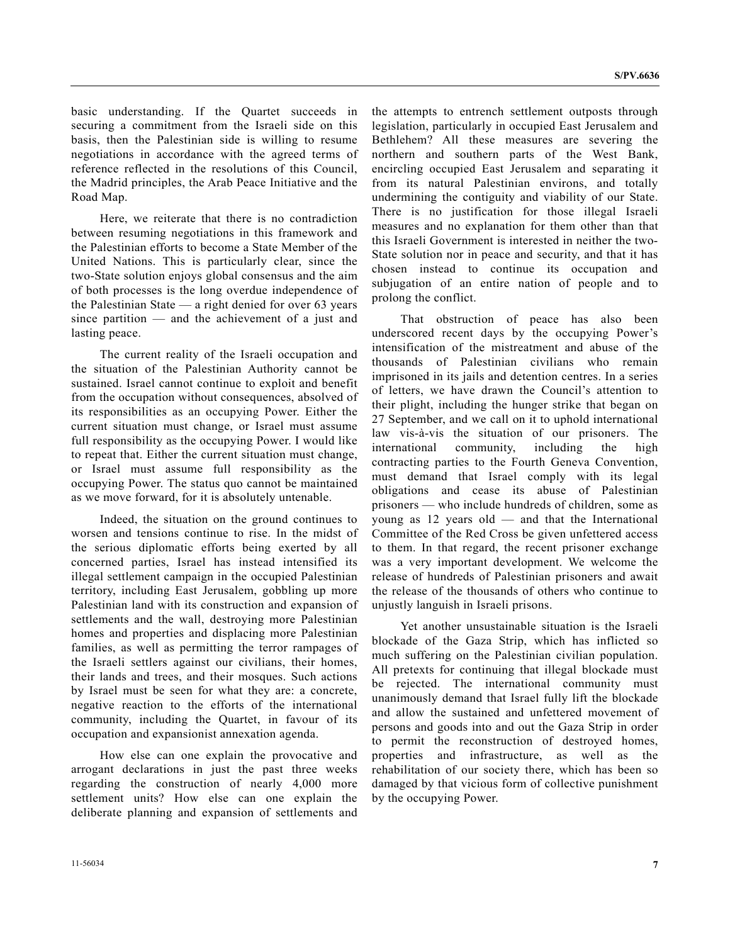basic understanding. If the Quartet succeeds in securing a commitment from the Israeli side on this basis, then the Palestinian side is willing to resume negotiations in accordance with the agreed terms of reference reflected in the resolutions of this Council, the Madrid principles, the Arab Peace Initiative and the Road Map.

 Here, we reiterate that there is no contradiction between resuming negotiations in this framework and the Palestinian efforts to become a State Member of the United Nations. This is particularly clear, since the two-State solution enjoys global consensus and the aim of both processes is the long overdue independence of the Palestinian State — a right denied for over 63 years since partition — and the achievement of a just and lasting peace.

 The current reality of the Israeli occupation and the situation of the Palestinian Authority cannot be sustained. Israel cannot continue to exploit and benefit from the occupation without consequences, absolved of its responsibilities as an occupying Power. Either the current situation must change, or Israel must assume full responsibility as the occupying Power. I would like to repeat that. Either the current situation must change, or Israel must assume full responsibility as the occupying Power. The status quo cannot be maintained as we move forward, for it is absolutely untenable.

 Indeed, the situation on the ground continues to worsen and tensions continue to rise. In the midst of the serious diplomatic efforts being exerted by all concerned parties, Israel has instead intensified its illegal settlement campaign in the occupied Palestinian territory, including East Jerusalem, gobbling up more Palestinian land with its construction and expansion of settlements and the wall, destroying more Palestinian homes and properties and displacing more Palestinian families, as well as permitting the terror rampages of the Israeli settlers against our civilians, their homes, their lands and trees, and their mosques. Such actions by Israel must be seen for what they are: a concrete, negative reaction to the efforts of the international community, including the Quartet, in favour of its occupation and expansionist annexation agenda.

 How else can one explain the provocative and arrogant declarations in just the past three weeks regarding the construction of nearly 4,000 more settlement units? How else can one explain the deliberate planning and expansion of settlements and the attempts to entrench settlement outposts through legislation, particularly in occupied East Jerusalem and Bethlehem? All these measures are severing the northern and southern parts of the West Bank, encircling occupied East Jerusalem and separating it from its natural Palestinian environs, and totally undermining the contiguity and viability of our State. There is no justification for those illegal Israeli measures and no explanation for them other than that this Israeli Government is interested in neither the two-State solution nor in peace and security, and that it has chosen instead to continue its occupation and subjugation of an entire nation of people and to prolong the conflict.

 That obstruction of peace has also been underscored recent days by the occupying Power's intensification of the mistreatment and abuse of the thousands of Palestinian civilians who remain imprisoned in its jails and detention centres. In a series of letters, we have drawn the Council's attention to their plight, including the hunger strike that began on 27 September, and we call on it to uphold international law vis-à-vis the situation of our prisoners. The international community, including the high contracting parties to the Fourth Geneva Convention, must demand that Israel comply with its legal obligations and cease its abuse of Palestinian prisoners — who include hundreds of children, some as young as 12 years old — and that the International Committee of the Red Cross be given unfettered access to them. In that regard, the recent prisoner exchange was a very important development. We welcome the release of hundreds of Palestinian prisoners and await the release of the thousands of others who continue to unjustly languish in Israeli prisons.

 Yet another unsustainable situation is the Israeli blockade of the Gaza Strip, which has inflicted so much suffering on the Palestinian civilian population. All pretexts for continuing that illegal blockade must be rejected. The international community must unanimously demand that Israel fully lift the blockade and allow the sustained and unfettered movement of persons and goods into and out the Gaza Strip in order to permit the reconstruction of destroyed homes, properties and infrastructure, as well as the rehabilitation of our society there, which has been so damaged by that vicious form of collective punishment by the occupying Power.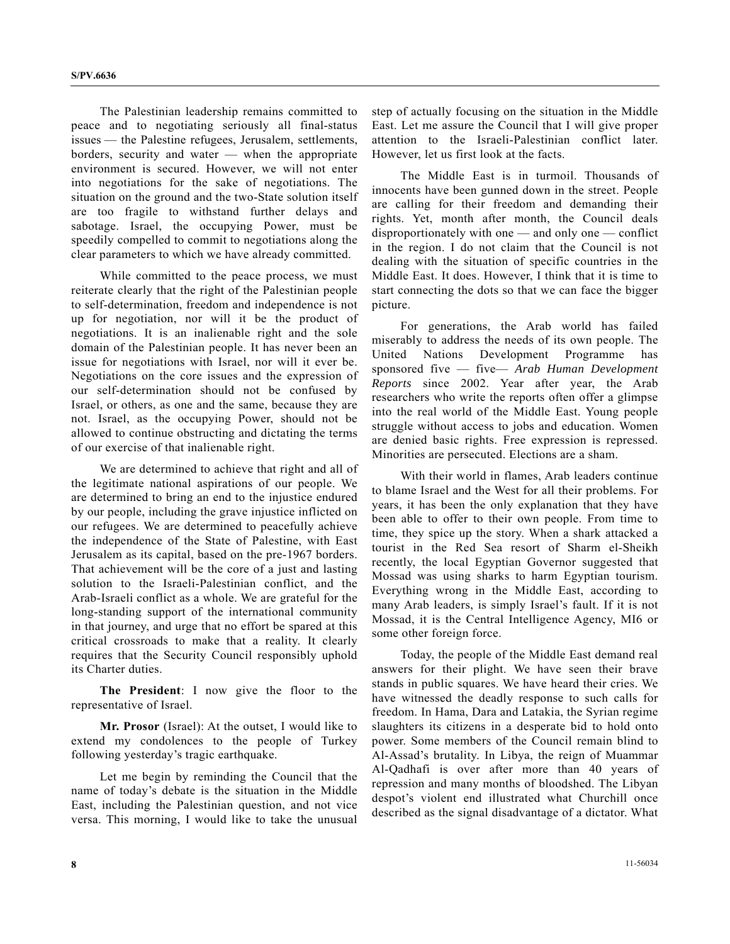The Palestinian leadership remains committed to peace and to negotiating seriously all final-status issues — the Palestine refugees, Jerusalem, settlements, borders, security and water — when the appropriate environment is secured. However, we will not enter into negotiations for the sake of negotiations. The situation on the ground and the two-State solution itself are too fragile to withstand further delays and sabotage. Israel, the occupying Power, must be speedily compelled to commit to negotiations along the clear parameters to which we have already committed.

 While committed to the peace process, we must reiterate clearly that the right of the Palestinian people to self-determination, freedom and independence is not up for negotiation, nor will it be the product of negotiations. It is an inalienable right and the sole domain of the Palestinian people. It has never been an issue for negotiations with Israel, nor will it ever be. Negotiations on the core issues and the expression of our self-determination should not be confused by Israel, or others, as one and the same, because they are not. Israel, as the occupying Power, should not be allowed to continue obstructing and dictating the terms of our exercise of that inalienable right.

 We are determined to achieve that right and all of the legitimate national aspirations of our people. We are determined to bring an end to the injustice endured by our people, including the grave injustice inflicted on our refugees. We are determined to peacefully achieve the independence of the State of Palestine, with East Jerusalem as its capital, based on the pre-1967 borders. That achievement will be the core of a just and lasting solution to the Israeli-Palestinian conflict, and the Arab-Israeli conflict as a whole. We are grateful for the long-standing support of the international community in that journey, and urge that no effort be spared at this critical crossroads to make that a reality. It clearly requires that the Security Council responsibly uphold its Charter duties.

**The President**: I now give the floor to the representative of Israel.

**Mr. Prosor** (Israel): At the outset, I would like to extend my condolences to the people of Turkey following yesterday's tragic earthquake.

 Let me begin by reminding the Council that the name of today's debate is the situation in the Middle East, including the Palestinian question, and not vice versa. This morning, I would like to take the unusual

step of actually focusing on the situation in the Middle East. Let me assure the Council that I will give proper attention to the Israeli-Palestinian conflict later. However, let us first look at the facts.

 The Middle East is in turmoil. Thousands of innocents have been gunned down in the street. People are calling for their freedom and demanding their rights. Yet, month after month, the Council deals disproportionately with one — and only one — conflict in the region. I do not claim that the Council is not dealing with the situation of specific countries in the Middle East. It does. However, I think that it is time to start connecting the dots so that we can face the bigger picture.

 For generations, the Arab world has failed miserably to address the needs of its own people. The United Nations Development Programme has sponsored five — five— *Arab Human Development Reports* since 2002. Year after year, the Arab researchers who write the reports often offer a glimpse into the real world of the Middle East. Young people struggle without access to jobs and education. Women are denied basic rights. Free expression is repressed. Minorities are persecuted. Elections are a sham.

 With their world in flames, Arab leaders continue to blame Israel and the West for all their problems. For years, it has been the only explanation that they have been able to offer to their own people. From time to time, they spice up the story. When a shark attacked a tourist in the Red Sea resort of Sharm el-Sheikh recently, the local Egyptian Governor suggested that Mossad was using sharks to harm Egyptian tourism. Everything wrong in the Middle East, according to many Arab leaders, is simply Israel's fault. If it is not Mossad, it is the Central Intelligence Agency, MI6 or some other foreign force.

 Today, the people of the Middle East demand real answers for their plight. We have seen their brave stands in public squares. We have heard their cries. We have witnessed the deadly response to such calls for freedom. In Hama, Dara and Latakia, the Syrian regime slaughters its citizens in a desperate bid to hold onto power. Some members of the Council remain blind to Al-Assad's brutality. In Libya, the reign of Muammar Al-Qadhafi is over after more than 40 years of repression and many months of bloodshed. The Libyan despot's violent end illustrated what Churchill once described as the signal disadvantage of a dictator. What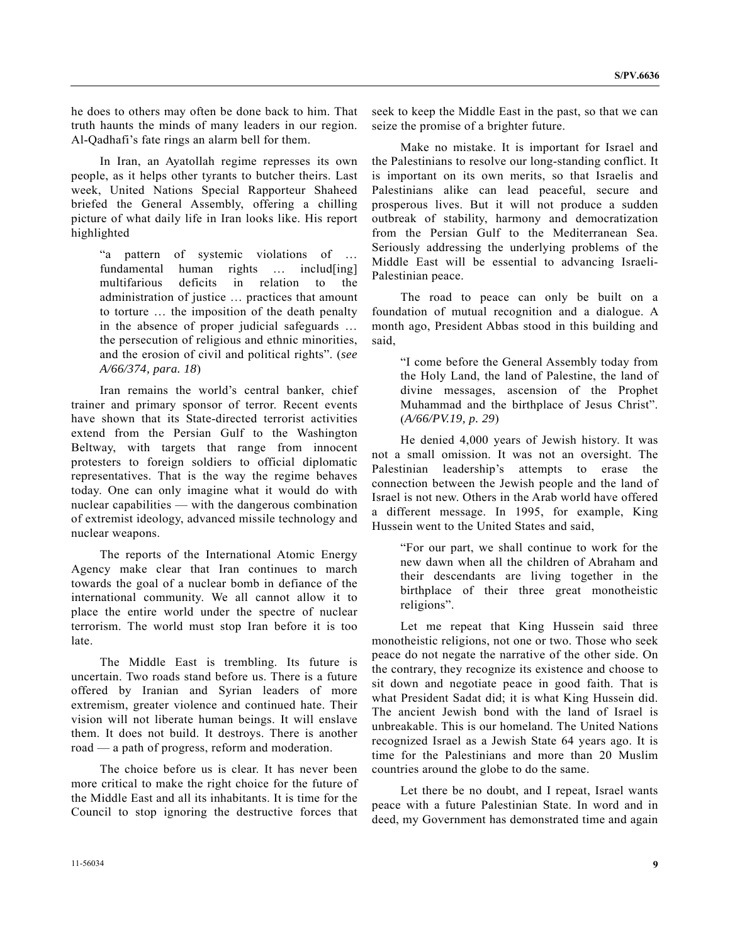he does to others may often be done back to him. That truth haunts the minds of many leaders in our region. Al-Qadhafi's fate rings an alarm bell for them.

 In Iran, an Ayatollah regime represses its own people, as it helps other tyrants to butcher theirs. Last week, United Nations Special Rapporteur Shaheed briefed the General Assembly, offering a chilling picture of what daily life in Iran looks like. His report highlighted

 "a pattern of systemic violations of … fundamental human rights ... includ[ing] multifarious deficits in relation to the administration of justice … practices that amount to torture … the imposition of the death penalty in the absence of proper judicial safeguards … the persecution of religious and ethnic minorities, and the erosion of civil and political rights". (*see A/66/374, para. 18*)

 Iran remains the world's central banker, chief trainer and primary sponsor of terror. Recent events have shown that its State-directed terrorist activities extend from the Persian Gulf to the Washington Beltway, with targets that range from innocent protesters to foreign soldiers to official diplomatic representatives. That is the way the regime behaves today. One can only imagine what it would do with nuclear capabilities — with the dangerous combination of extremist ideology, advanced missile technology and nuclear weapons.

 The reports of the International Atomic Energy Agency make clear that Iran continues to march towards the goal of a nuclear bomb in defiance of the international community. We all cannot allow it to place the entire world under the spectre of nuclear terrorism. The world must stop Iran before it is too late.

 The Middle East is trembling. Its future is uncertain. Two roads stand before us. There is a future offered by Iranian and Syrian leaders of more extremism, greater violence and continued hate. Their vision will not liberate human beings. It will enslave them. It does not build. It destroys. There is another road — a path of progress, reform and moderation.

 The choice before us is clear. It has never been more critical to make the right choice for the future of the Middle East and all its inhabitants. It is time for the Council to stop ignoring the destructive forces that seek to keep the Middle East in the past, so that we can seize the promise of a brighter future.

 Make no mistake. It is important for Israel and the Palestinians to resolve our long-standing conflict. It is important on its own merits, so that Israelis and Palestinians alike can lead peaceful, secure and prosperous lives. But it will not produce a sudden outbreak of stability, harmony and democratization from the Persian Gulf to the Mediterranean Sea. Seriously addressing the underlying problems of the Middle East will be essential to advancing Israeli-Palestinian peace.

 The road to peace can only be built on a foundation of mutual recognition and a dialogue. A month ago, President Abbas stood in this building and said,

 "I come before the General Assembly today from the Holy Land, the land of Palestine, the land of divine messages, ascension of the Prophet Muhammad and the birthplace of Jesus Christ". (*A/66/PV.19, p. 29*)

 He denied 4,000 years of Jewish history. It was not a small omission. It was not an oversight. The Palestinian leadership's attempts to erase the connection between the Jewish people and the land of Israel is not new. Others in the Arab world have offered a different message. In 1995, for example, King Hussein went to the United States and said,

 "For our part, we shall continue to work for the new dawn when all the children of Abraham and their descendants are living together in the birthplace of their three great monotheistic religions".

 Let me repeat that King Hussein said three monotheistic religions, not one or two. Those who seek peace do not negate the narrative of the other side. On the contrary, they recognize its existence and choose to sit down and negotiate peace in good faith. That is what President Sadat did; it is what King Hussein did. The ancient Jewish bond with the land of Israel is unbreakable. This is our homeland. The United Nations recognized Israel as a Jewish State 64 years ago. It is time for the Palestinians and more than 20 Muslim countries around the globe to do the same.

 Let there be no doubt, and I repeat, Israel wants peace with a future Palestinian State. In word and in deed, my Government has demonstrated time and again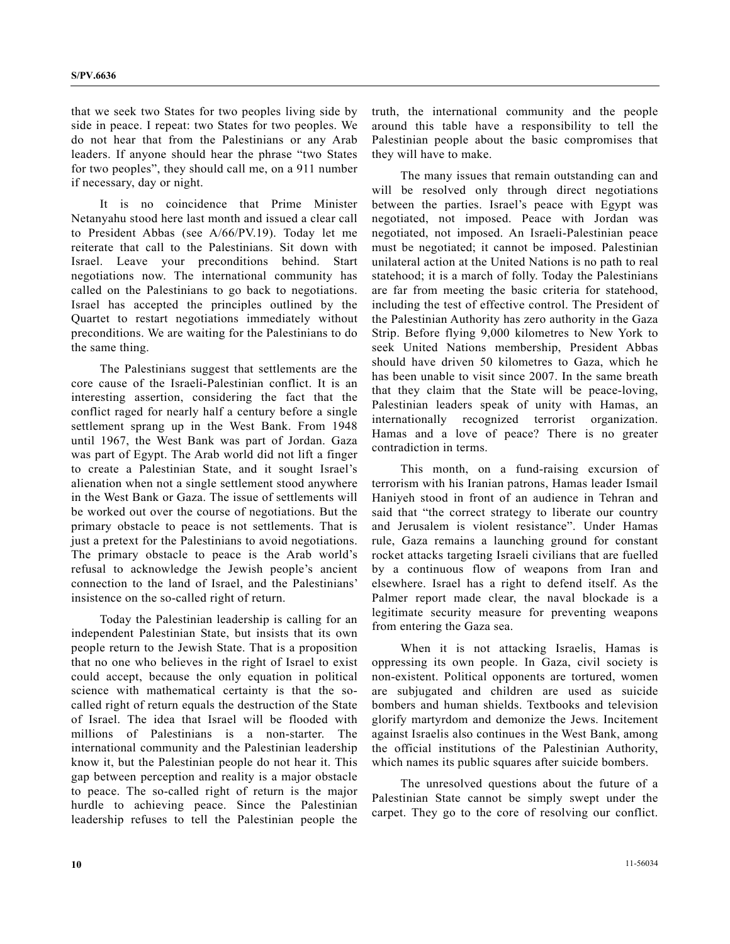that we seek two States for two peoples living side by side in peace. I repeat: two States for two peoples. We do not hear that from the Palestinians or any Arab leaders. If anyone should hear the phrase "two States for two peoples", they should call me, on a 911 number if necessary, day or night.

 It is no coincidence that Prime Minister Netanyahu stood here last month and issued a clear call to President Abbas (see A/66/PV.19). Today let me reiterate that call to the Palestinians. Sit down with Israel. Leave your preconditions behind. Start negotiations now. The international community has called on the Palestinians to go back to negotiations. Israel has accepted the principles outlined by the Quartet to restart negotiations immediately without preconditions. We are waiting for the Palestinians to do the same thing.

 The Palestinians suggest that settlements are the core cause of the Israeli-Palestinian conflict. It is an interesting assertion, considering the fact that the conflict raged for nearly half a century before a single settlement sprang up in the West Bank. From 1948 until 1967, the West Bank was part of Jordan. Gaza was part of Egypt. The Arab world did not lift a finger to create a Palestinian State, and it sought Israel's alienation when not a single settlement stood anywhere in the West Bank or Gaza. The issue of settlements will be worked out over the course of negotiations. But the primary obstacle to peace is not settlements. That is just a pretext for the Palestinians to avoid negotiations. The primary obstacle to peace is the Arab world's refusal to acknowledge the Jewish people's ancient connection to the land of Israel, and the Palestinians' insistence on the so-called right of return.

 Today the Palestinian leadership is calling for an independent Palestinian State, but insists that its own people return to the Jewish State. That is a proposition that no one who believes in the right of Israel to exist could accept, because the only equation in political science with mathematical certainty is that the socalled right of return equals the destruction of the State of Israel. The idea that Israel will be flooded with millions of Palestinians is a non-starter. The international community and the Palestinian leadership know it, but the Palestinian people do not hear it. This gap between perception and reality is a major obstacle to peace. The so-called right of return is the major hurdle to achieving peace. Since the Palestinian leadership refuses to tell the Palestinian people the truth, the international community and the people around this table have a responsibility to tell the Palestinian people about the basic compromises that they will have to make.

 The many issues that remain outstanding can and will be resolved only through direct negotiations between the parties. Israel's peace with Egypt was negotiated, not imposed. Peace with Jordan was negotiated, not imposed. An Israeli-Palestinian peace must be negotiated; it cannot be imposed. Palestinian unilateral action at the United Nations is no path to real statehood; it is a march of folly. Today the Palestinians are far from meeting the basic criteria for statehood, including the test of effective control. The President of the Palestinian Authority has zero authority in the Gaza Strip. Before flying 9,000 kilometres to New York to seek United Nations membership, President Abbas should have driven 50 kilometres to Gaza, which he has been unable to visit since 2007. In the same breath that they claim that the State will be peace-loving, Palestinian leaders speak of unity with Hamas, an internationally recognized terrorist organization. Hamas and a love of peace? There is no greater contradiction in terms.

 This month, on a fund-raising excursion of terrorism with his Iranian patrons, Hamas leader Ismail Haniyeh stood in front of an audience in Tehran and said that "the correct strategy to liberate our country and Jerusalem is violent resistance". Under Hamas rule, Gaza remains a launching ground for constant rocket attacks targeting Israeli civilians that are fuelled by a continuous flow of weapons from Iran and elsewhere. Israel has a right to defend itself. As the Palmer report made clear, the naval blockade is a legitimate security measure for preventing weapons from entering the Gaza sea.

 When it is not attacking Israelis, Hamas is oppressing its own people. In Gaza, civil society is non-existent. Political opponents are tortured, women are subjugated and children are used as suicide bombers and human shields. Textbooks and television glorify martyrdom and demonize the Jews. Incitement against Israelis also continues in the West Bank, among the official institutions of the Palestinian Authority, which names its public squares after suicide bombers.

 The unresolved questions about the future of a Palestinian State cannot be simply swept under the carpet. They go to the core of resolving our conflict.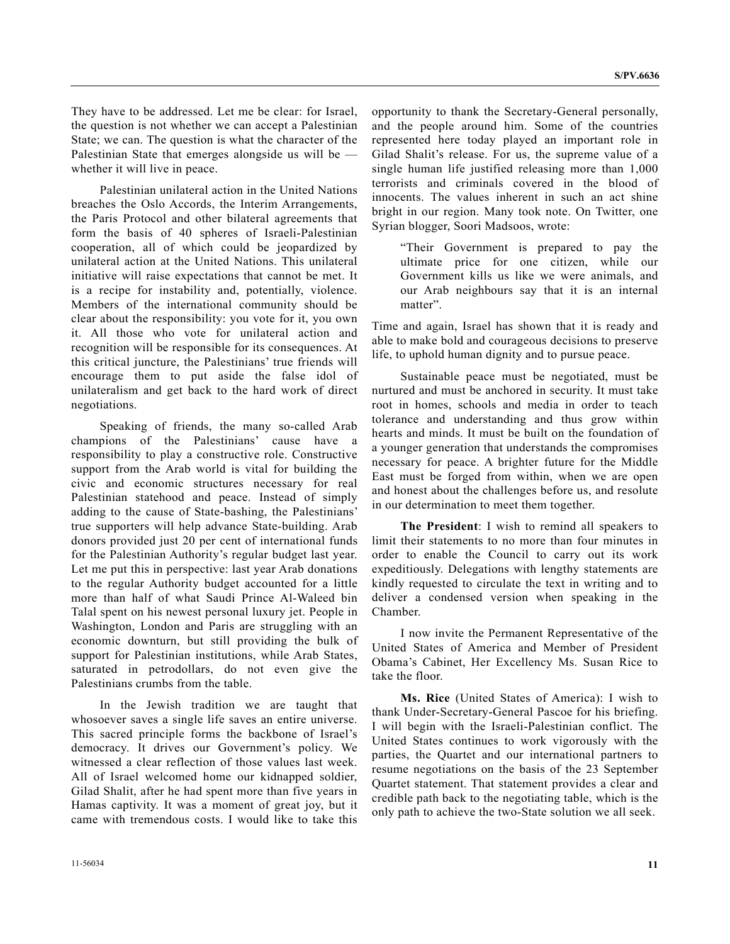They have to be addressed. Let me be clear: for Israel, the question is not whether we can accept a Palestinian State; we can. The question is what the character of the Palestinian State that emerges alongside us will be whether it will live in peace.

 Palestinian unilateral action in the United Nations breaches the Oslo Accords, the Interim Arrangements, the Paris Protocol and other bilateral agreements that form the basis of 40 spheres of Israeli-Palestinian cooperation, all of which could be jeopardized by unilateral action at the United Nations. This unilateral initiative will raise expectations that cannot be met. It is a recipe for instability and, potentially, violence. Members of the international community should be clear about the responsibility: you vote for it, you own it. All those who vote for unilateral action and recognition will be responsible for its consequences. At this critical juncture, the Palestinians' true friends will encourage them to put aside the false idol of unilateralism and get back to the hard work of direct negotiations.

 Speaking of friends, the many so-called Arab champions of the Palestinians' cause have responsibility to play a constructive role. Constructive support from the Arab world is vital for building the civic and economic structures necessary for real Palestinian statehood and peace. Instead of simply adding to the cause of State-bashing, the Palestinians' true supporters will help advance State-building. Arab donors provided just 20 per cent of international funds for the Palestinian Authority's regular budget last year. Let me put this in perspective: last year Arab donations to the regular Authority budget accounted for a little more than half of what Saudi Prince Al-Waleed bin Talal spent on his newest personal luxury jet. People in Washington, London and Paris are struggling with an economic downturn, but still providing the bulk of support for Palestinian institutions, while Arab States, saturated in petrodollars, do not even give the Palestinians crumbs from the table.

 In the Jewish tradition we are taught that whosoever saves a single life saves an entire universe. This sacred principle forms the backbone of Israel's democracy. It drives our Government's policy. We witnessed a clear reflection of those values last week. All of Israel welcomed home our kidnapped soldier, Gilad Shalit, after he had spent more than five years in Hamas captivity. It was a moment of great joy, but it came with tremendous costs. I would like to take this

opportunity to thank the Secretary-General personally, and the people around him. Some of the countries represented here today played an important role in Gilad Shalit's release. For us, the supreme value of a single human life justified releasing more than 1,000 terrorists and criminals covered in the blood of innocents. The values inherent in such an act shine bright in our region. Many took note. On Twitter, one Syrian blogger, Soori Madsoos, wrote:

 "Their Government is prepared to pay the ultimate price for one citizen, while our Government kills us like we were animals, and our Arab neighbours say that it is an internal matter".

Time and again, Israel has shown that it is ready and able to make bold and courageous decisions to preserve life, to uphold human dignity and to pursue peace.

 Sustainable peace must be negotiated, must be nurtured and must be anchored in security. It must take root in homes, schools and media in order to teach tolerance and understanding and thus grow within hearts and minds. It must be built on the foundation of a younger generation that understands the compromises necessary for peace. A brighter future for the Middle East must be forged from within, when we are open and honest about the challenges before us, and resolute in our determination to meet them together.

**The President**: I wish to remind all speakers to limit their statements to no more than four minutes in order to enable the Council to carry out its work expeditiously. Delegations with lengthy statements are kindly requested to circulate the text in writing and to deliver a condensed version when speaking in the Chamber.

 I now invite the Permanent Representative of the United States of America and Member of President Obama's Cabinet, Her Excellency Ms. Susan Rice to take the floor.

**Ms. Rice** (United States of America): I wish to thank Under-Secretary-General Pascoe for his briefing. I will begin with the Israeli-Palestinian conflict. The United States continues to work vigorously with the parties, the Quartet and our international partners to resume negotiations on the basis of the 23 September Quartet statement. That statement provides a clear and credible path back to the negotiating table, which is the only path to achieve the two-State solution we all seek.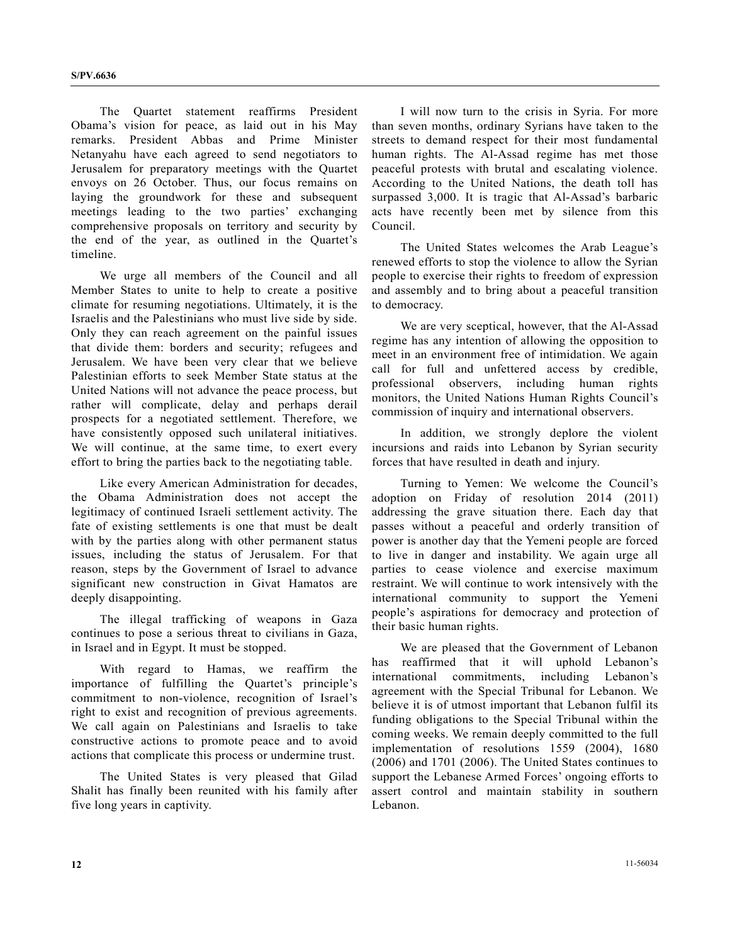The Quartet statement reaffirms President Obama's vision for peace, as laid out in his May remarks. President Abbas and Prime Minister Netanyahu have each agreed to send negotiators to Jerusalem for preparatory meetings with the Quartet envoys on 26 October. Thus, our focus remains on laying the groundwork for these and subsequent meetings leading to the two parties' exchanging comprehensive proposals on territory and security by the end of the year, as outlined in the Quartet's timeline.

 We urge all members of the Council and all Member States to unite to help to create a positive climate for resuming negotiations. Ultimately, it is the Israelis and the Palestinians who must live side by side. Only they can reach agreement on the painful issues that divide them: borders and security; refugees and Jerusalem. We have been very clear that we believe Palestinian efforts to seek Member State status at the United Nations will not advance the peace process, but rather will complicate, delay and perhaps derail prospects for a negotiated settlement. Therefore, we have consistently opposed such unilateral initiatives. We will continue, at the same time, to exert every effort to bring the parties back to the negotiating table.

 Like every American Administration for decades, the Obama Administration does not accept the legitimacy of continued Israeli settlement activity. The fate of existing settlements is one that must be dealt with by the parties along with other permanent status issues, including the status of Jerusalem. For that reason, steps by the Government of Israel to advance significant new construction in Givat Hamatos are deeply disappointing.

 The illegal trafficking of weapons in Gaza continues to pose a serious threat to civilians in Gaza, in Israel and in Egypt. It must be stopped.

 With regard to Hamas, we reaffirm the importance of fulfilling the Quartet's principle's commitment to non-violence, recognition of Israel's right to exist and recognition of previous agreements. We call again on Palestinians and Israelis to take constructive actions to promote peace and to avoid actions that complicate this process or undermine trust.

 The United States is very pleased that Gilad Shalit has finally been reunited with his family after five long years in captivity.

 I will now turn to the crisis in Syria. For more than seven months, ordinary Syrians have taken to the streets to demand respect for their most fundamental human rights. The Al-Assad regime has met those peaceful protests with brutal and escalating violence. According to the United Nations, the death toll has surpassed 3,000. It is tragic that Al-Assad's barbaric acts have recently been met by silence from this Council.

 The United States welcomes the Arab League's renewed efforts to stop the violence to allow the Syrian people to exercise their rights to freedom of expression and assembly and to bring about a peaceful transition to democracy.

 We are very sceptical, however, that the Al-Assad regime has any intention of allowing the opposition to meet in an environment free of intimidation. We again call for full and unfettered access by credible, professional observers, including human rights monitors, the United Nations Human Rights Council's commission of inquiry and international observers.

 In addition, we strongly deplore the violent incursions and raids into Lebanon by Syrian security forces that have resulted in death and injury.

 Turning to Yemen: We welcome the Council's adoption on Friday of resolution 2014 (2011) addressing the grave situation there. Each day that passes without a peaceful and orderly transition of power is another day that the Yemeni people are forced to live in danger and instability. We again urge all parties to cease violence and exercise maximum restraint. We will continue to work intensively with the international community to support the Yemeni people's aspirations for democracy and protection of their basic human rights.

 We are pleased that the Government of Lebanon has reaffirmed that it will uphold Lebanon's international commitments, including Lebanon's agreement with the Special Tribunal for Lebanon. We believe it is of utmost important that Lebanon fulfil its funding obligations to the Special Tribunal within the coming weeks. We remain deeply committed to the full implementation of resolutions 1559 (2004), 1680 (2006) and 1701 (2006). The United States continues to support the Lebanese Armed Forces' ongoing efforts to assert control and maintain stability in southern Lebanon.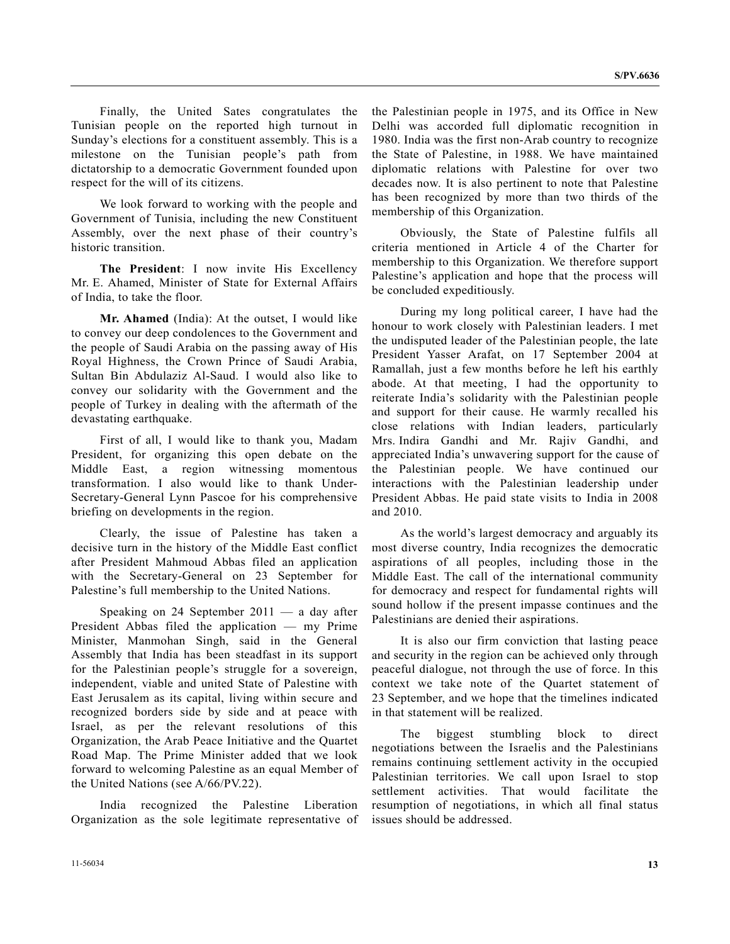Finally, the United Sates congratulates the Tunisian people on the reported high turnout in Sunday's elections for a constituent assembly. This is a milestone on the Tunisian people's path from dictatorship to a democratic Government founded upon respect for the will of its citizens.

 We look forward to working with the people and Government of Tunisia, including the new Constituent Assembly, over the next phase of their country's historic transition.

**The President**: I now invite His Excellency Mr. E. Ahamed, Minister of State for External Affairs of India, to take the floor.

**Mr. Ahamed** (India): At the outset, I would like to convey our deep condolences to the Government and the people of Saudi Arabia on the passing away of His Royal Highness, the Crown Prince of Saudi Arabia, Sultan Bin Abdulaziz Al-Saud. I would also like to convey our solidarity with the Government and the people of Turkey in dealing with the aftermath of the devastating earthquake.

 First of all, I would like to thank you, Madam President, for organizing this open debate on the Middle East, a region witnessing momentous transformation. I also would like to thank Under-Secretary-General Lynn Pascoe for his comprehensive briefing on developments in the region.

 Clearly, the issue of Palestine has taken a decisive turn in the history of the Middle East conflict after President Mahmoud Abbas filed an application with the Secretary-General on 23 September for Palestine's full membership to the United Nations.

 Speaking on 24 September 2011 — a day after President Abbas filed the application — my Prime Minister, Manmohan Singh, said in the General Assembly that India has been steadfast in its support for the Palestinian people's struggle for a sovereign, independent, viable and united State of Palestine with East Jerusalem as its capital, living within secure and recognized borders side by side and at peace with Israel, as per the relevant resolutions of this Organization, the Arab Peace Initiative and the Quartet Road Map. The Prime Minister added that we look forward to welcoming Palestine as an equal Member of the United Nations (see A/66/PV.22).

 India recognized the Palestine Liberation Organization as the sole legitimate representative of the Palestinian people in 1975, and its Office in New Delhi was accorded full diplomatic recognition in 1980. India was the first non-Arab country to recognize the State of Palestine, in 1988. We have maintained diplomatic relations with Palestine for over two decades now. It is also pertinent to note that Palestine has been recognized by more than two thirds of the membership of this Organization.

 Obviously, the State of Palestine fulfils all criteria mentioned in Article 4 of the Charter for membership to this Organization. We therefore support Palestine's application and hope that the process will be concluded expeditiously.

 During my long political career, I have had the honour to work closely with Palestinian leaders. I met the undisputed leader of the Palestinian people, the late President Yasser Arafat, on 17 September 2004 at Ramallah, just a few months before he left his earthly abode. At that meeting, I had the opportunity to reiterate India's solidarity with the Palestinian people and support for their cause. He warmly recalled his close relations with Indian leaders, particularly Mrs. Indira Gandhi and Mr. Rajiv Gandhi, and appreciated India's unwavering support for the cause of the Palestinian people. We have continued our interactions with the Palestinian leadership under President Abbas. He paid state visits to India in 2008 and 2010.

 As the world's largest democracy and arguably its most diverse country, India recognizes the democratic aspirations of all peoples, including those in the Middle East. The call of the international community for democracy and respect for fundamental rights will sound hollow if the present impasse continues and the Palestinians are denied their aspirations.

 It is also our firm conviction that lasting peace and security in the region can be achieved only through peaceful dialogue, not through the use of force. In this context we take note of the Quartet statement of 23 September, and we hope that the timelines indicated in that statement will be realized.

 The biggest stumbling block to direct negotiations between the Israelis and the Palestinians remains continuing settlement activity in the occupied Palestinian territories. We call upon Israel to stop settlement activities. That would facilitate the resumption of negotiations, in which all final status issues should be addressed.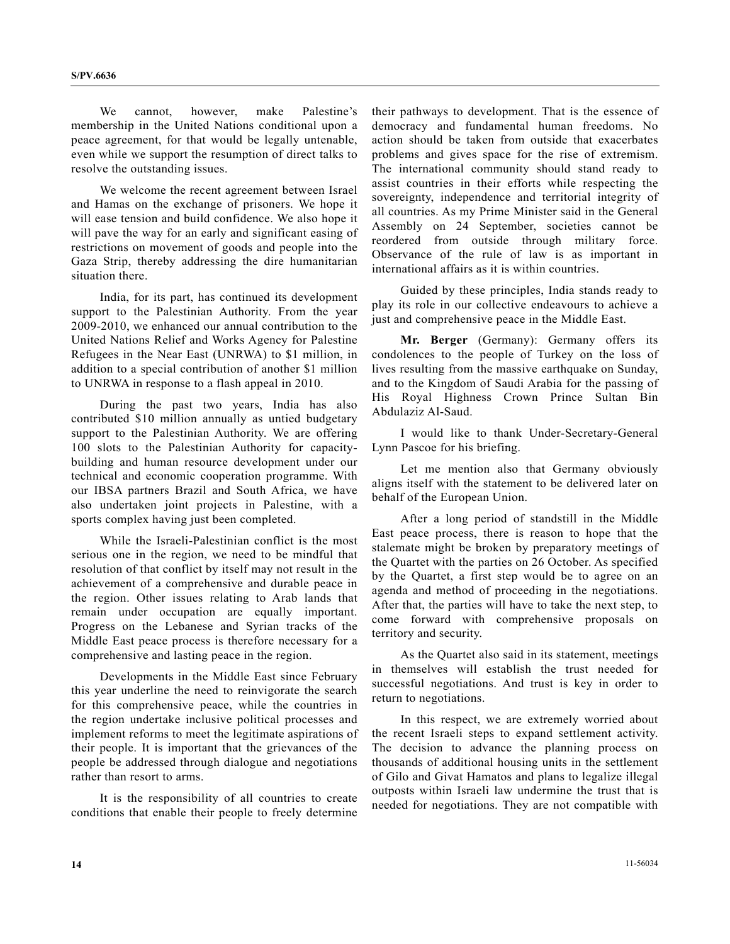We cannot, however, make Palestine's membership in the United Nations conditional upon a peace agreement, for that would be legally untenable, even while we support the resumption of direct talks to resolve the outstanding issues.

 We welcome the recent agreement between Israel and Hamas on the exchange of prisoners. We hope it will ease tension and build confidence. We also hope it will pave the way for an early and significant easing of restrictions on movement of goods and people into the Gaza Strip, thereby addressing the dire humanitarian situation there.

 India, for its part, has continued its development support to the Palestinian Authority. From the year 2009-2010, we enhanced our annual contribution to the United Nations Relief and Works Agency for Palestine Refugees in the Near East (UNRWA) to \$1 million, in addition to a special contribution of another \$1 million to UNRWA in response to a flash appeal in 2010.

 During the past two years, India has also contributed \$10 million annually as untied budgetary support to the Palestinian Authority. We are offering 100 slots to the Palestinian Authority for capacitybuilding and human resource development under our technical and economic cooperation programme. With our IBSA partners Brazil and South Africa, we have also undertaken joint projects in Palestine, with a sports complex having just been completed.

 While the Israeli-Palestinian conflict is the most serious one in the region, we need to be mindful that resolution of that conflict by itself may not result in the achievement of a comprehensive and durable peace in the region. Other issues relating to Arab lands that remain under occupation are equally important. Progress on the Lebanese and Syrian tracks of the Middle East peace process is therefore necessary for a comprehensive and lasting peace in the region.

 Developments in the Middle East since February this year underline the need to reinvigorate the search for this comprehensive peace, while the countries in the region undertake inclusive political processes and implement reforms to meet the legitimate aspirations of their people. It is important that the grievances of the people be addressed through dialogue and negotiations rather than resort to arms.

 It is the responsibility of all countries to create conditions that enable their people to freely determine

their pathways to development. That is the essence of democracy and fundamental human freedoms. No action should be taken from outside that exacerbates problems and gives space for the rise of extremism. The international community should stand ready to assist countries in their efforts while respecting the sovereignty, independence and territorial integrity of all countries. As my Prime Minister said in the General Assembly on 24 September, societies cannot be reordered from outside through military force. Observance of the rule of law is as important in international affairs as it is within countries.

 Guided by these principles, India stands ready to play its role in our collective endeavours to achieve a just and comprehensive peace in the Middle East.

**Mr. Berger** (Germany): Germany offers its condolences to the people of Turkey on the loss of lives resulting from the massive earthquake on Sunday, and to the Kingdom of Saudi Arabia for the passing of His Royal Highness Crown Prince Sultan Bin Abdulaziz Al-Saud.

 I would like to thank Under-Secretary-General Lynn Pascoe for his briefing.

 Let me mention also that Germany obviously aligns itself with the statement to be delivered later on behalf of the European Union.

 After a long period of standstill in the Middle East peace process, there is reason to hope that the stalemate might be broken by preparatory meetings of the Quartet with the parties on 26 October. As specified by the Quartet, a first step would be to agree on an agenda and method of proceeding in the negotiations. After that, the parties will have to take the next step, to come forward with comprehensive proposals on territory and security.

 As the Quartet also said in its statement, meetings in themselves will establish the trust needed for successful negotiations. And trust is key in order to return to negotiations.

 In this respect, we are extremely worried about the recent Israeli steps to expand settlement activity. The decision to advance the planning process on thousands of additional housing units in the settlement of Gilo and Givat Hamatos and plans to legalize illegal outposts within Israeli law undermine the trust that is needed for negotiations. They are not compatible with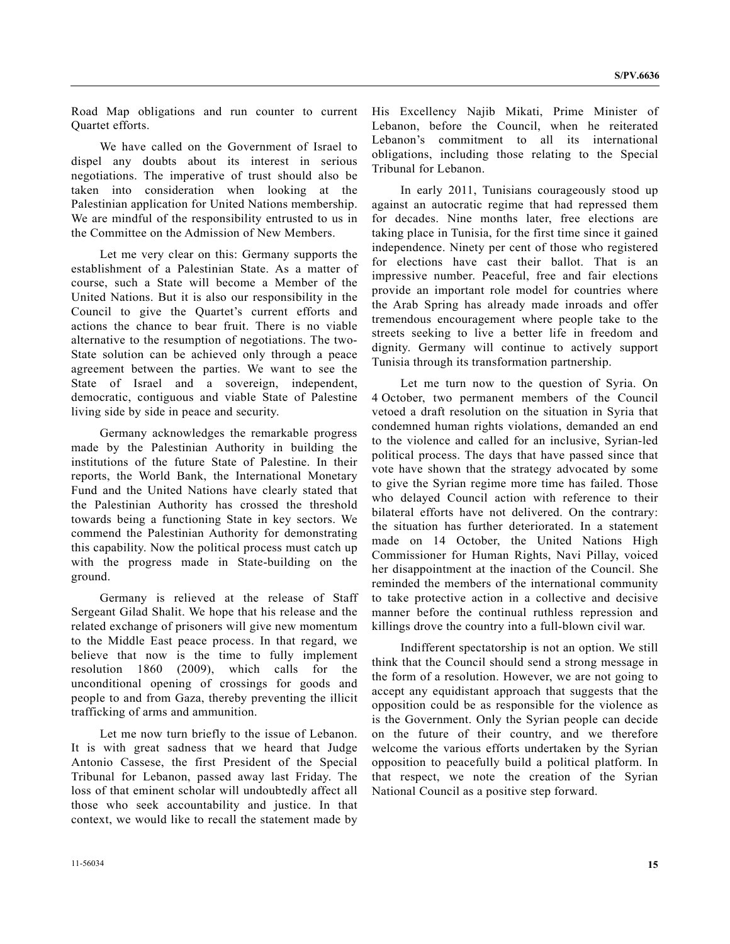Road Map obligations and run counter to current Quartet efforts.

 We have called on the Government of Israel to dispel any doubts about its interest in serious negotiations. The imperative of trust should also be taken into consideration when looking at the Palestinian application for United Nations membership. We are mindful of the responsibility entrusted to us in the Committee on the Admission of New Members.

 Let me very clear on this: Germany supports the establishment of a Palestinian State. As a matter of course, such a State will become a Member of the United Nations. But it is also our responsibility in the Council to give the Quartet's current efforts and actions the chance to bear fruit. There is no viable alternative to the resumption of negotiations. The two-State solution can be achieved only through a peace agreement between the parties. We want to see the State of Israel and a sovereign, independent, democratic, contiguous and viable State of Palestine living side by side in peace and security.

 Germany acknowledges the remarkable progress made by the Palestinian Authority in building the institutions of the future State of Palestine. In their reports, the World Bank, the International Monetary Fund and the United Nations have clearly stated that the Palestinian Authority has crossed the threshold towards being a functioning State in key sectors. We commend the Palestinian Authority for demonstrating this capability. Now the political process must catch up with the progress made in State-building on the ground.

 Germany is relieved at the release of Staff Sergeant Gilad Shalit. We hope that his release and the related exchange of prisoners will give new momentum to the Middle East peace process. In that regard, we believe that now is the time to fully implement resolution 1860 (2009), which calls for the unconditional opening of crossings for goods and people to and from Gaza, thereby preventing the illicit trafficking of arms and ammunition.

 Let me now turn briefly to the issue of Lebanon. It is with great sadness that we heard that Judge Antonio Cassese, the first President of the Special Tribunal for Lebanon, passed away last Friday. The loss of that eminent scholar will undoubtedly affect all those who seek accountability and justice. In that context, we would like to recall the statement made by His Excellency Najib Mikati, Prime Minister of Lebanon, before the Council, when he reiterated Lebanon's commitment to all its international obligations, including those relating to the Special Tribunal for Lebanon.

 In early 2011, Tunisians courageously stood up against an autocratic regime that had repressed them for decades. Nine months later, free elections are taking place in Tunisia, for the first time since it gained independence. Ninety per cent of those who registered for elections have cast their ballot. That is an impressive number. Peaceful, free and fair elections provide an important role model for countries where the Arab Spring has already made inroads and offer tremendous encouragement where people take to the streets seeking to live a better life in freedom and dignity. Germany will continue to actively support Tunisia through its transformation partnership.

 Let me turn now to the question of Syria. On 4 October, two permanent members of the Council vetoed a draft resolution on the situation in Syria that condemned human rights violations, demanded an end to the violence and called for an inclusive, Syrian-led political process. The days that have passed since that vote have shown that the strategy advocated by some to give the Syrian regime more time has failed. Those who delayed Council action with reference to their bilateral efforts have not delivered. On the contrary: the situation has further deteriorated. In a statement made on 14 October, the United Nations High Commissioner for Human Rights, Navi Pillay, voiced her disappointment at the inaction of the Council. She reminded the members of the international community to take protective action in a collective and decisive manner before the continual ruthless repression and killings drove the country into a full-blown civil war.

 Indifferent spectatorship is not an option. We still think that the Council should send a strong message in the form of a resolution. However, we are not going to accept any equidistant approach that suggests that the opposition could be as responsible for the violence as is the Government. Only the Syrian people can decide on the future of their country, and we therefore welcome the various efforts undertaken by the Syrian opposition to peacefully build a political platform. In that respect, we note the creation of the Syrian National Council as a positive step forward.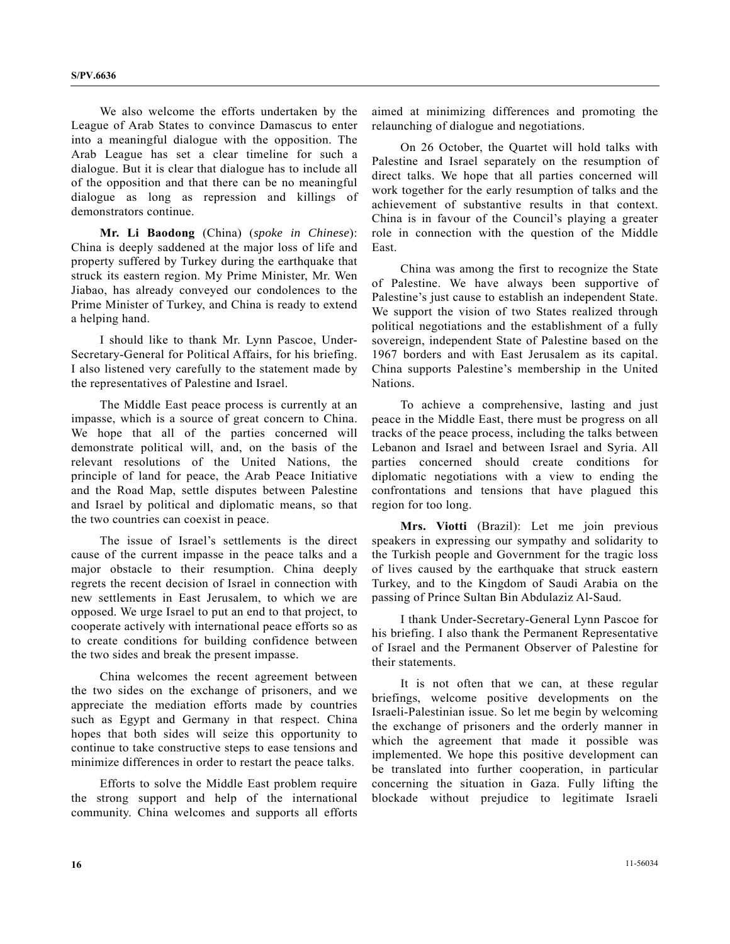We also welcome the efforts undertaken by the League of Arab States to convince Damascus to enter into a meaningful dialogue with the opposition. The Arab League has set a clear timeline for such a dialogue. But it is clear that dialogue has to include all of the opposition and that there can be no meaningful dialogue as long as repression and killings of demonstrators continue.

**Mr. Li Baodong** (China) (*spoke in Chinese*): China is deeply saddened at the major loss of life and property suffered by Turkey during the earthquake that struck its eastern region. My Prime Minister, Mr. Wen Jiabao, has already conveyed our condolences to the Prime Minister of Turkey, and China is ready to extend a helping hand.

 I should like to thank Mr. Lynn Pascoe, Under-Secretary-General for Political Affairs, for his briefing. I also listened very carefully to the statement made by the representatives of Palestine and Israel.

 The Middle East peace process is currently at an impasse, which is a source of great concern to China. We hope that all of the parties concerned will demonstrate political will, and, on the basis of the relevant resolutions of the United Nations, the principle of land for peace, the Arab Peace Initiative and the Road Map, settle disputes between Palestine and Israel by political and diplomatic means, so that the two countries can coexist in peace.

 The issue of Israel's settlements is the direct cause of the current impasse in the peace talks and a major obstacle to their resumption. China deeply regrets the recent decision of Israel in connection with new settlements in East Jerusalem, to which we are opposed. We urge Israel to put an end to that project, to cooperate actively with international peace efforts so as to create conditions for building confidence between the two sides and break the present impasse.

 China welcomes the recent agreement between the two sides on the exchange of prisoners, and we appreciate the mediation efforts made by countries such as Egypt and Germany in that respect. China hopes that both sides will seize this opportunity to continue to take constructive steps to ease tensions and minimize differences in order to restart the peace talks.

 Efforts to solve the Middle East problem require the strong support and help of the international community. China welcomes and supports all efforts aimed at minimizing differences and promoting the relaunching of dialogue and negotiations.

 On 26 October, the Quartet will hold talks with Palestine and Israel separately on the resumption of direct talks. We hope that all parties concerned will work together for the early resumption of talks and the achievement of substantive results in that context. China is in favour of the Council's playing a greater role in connection with the question of the Middle East.

 China was among the first to recognize the State of Palestine. We have always been supportive of Palestine's just cause to establish an independent State. We support the vision of two States realized through political negotiations and the establishment of a fully sovereign, independent State of Palestine based on the 1967 borders and with East Jerusalem as its capital. China supports Palestine's membership in the United Nations.

 To achieve a comprehensive, lasting and just peace in the Middle East, there must be progress on all tracks of the peace process, including the talks between Lebanon and Israel and between Israel and Syria. All parties concerned should create conditions for diplomatic negotiations with a view to ending the confrontations and tensions that have plagued this region for too long.

**Mrs. Viotti** (Brazil): Let me join previous speakers in expressing our sympathy and solidarity to the Turkish people and Government for the tragic loss of lives caused by the earthquake that struck eastern Turkey, and to the Kingdom of Saudi Arabia on the passing of Prince Sultan Bin Abdulaziz Al-Saud.

 I thank Under-Secretary-General Lynn Pascoe for his briefing. I also thank the Permanent Representative of Israel and the Permanent Observer of Palestine for their statements.

 It is not often that we can, at these regular briefings, welcome positive developments on the Israeli-Palestinian issue. So let me begin by welcoming the exchange of prisoners and the orderly manner in which the agreement that made it possible was implemented. We hope this positive development can be translated into further cooperation, in particular concerning the situation in Gaza. Fully lifting the blockade without prejudice to legitimate Israeli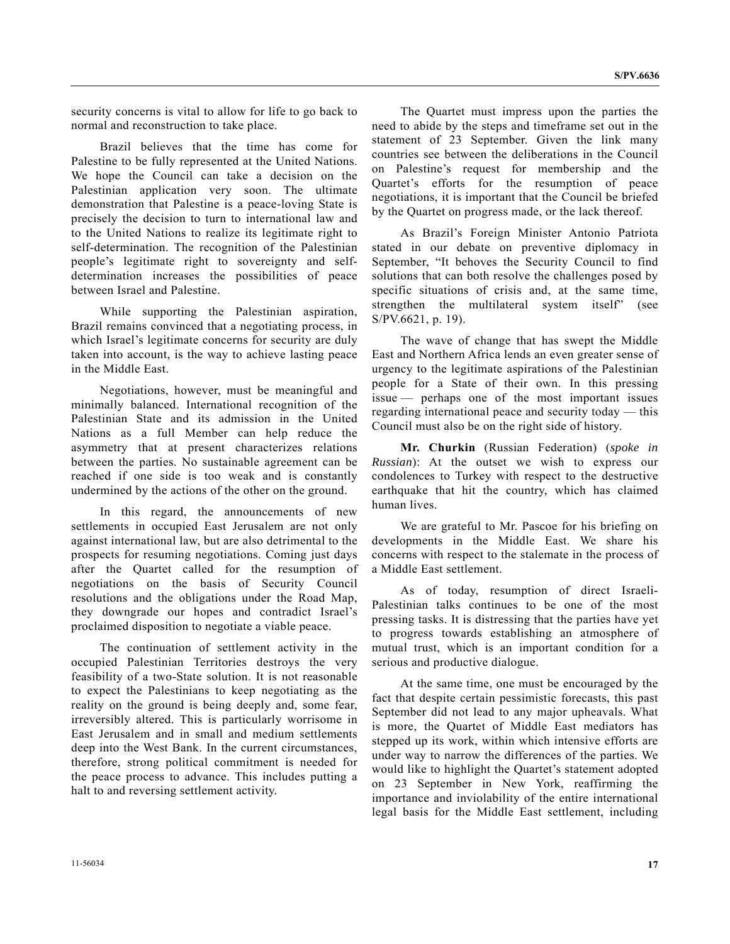security concerns is vital to allow for life to go back to normal and reconstruction to take place.

 Brazil believes that the time has come for Palestine to be fully represented at the United Nations. We hope the Council can take a decision on the Palestinian application very soon. The ultimate demonstration that Palestine is a peace-loving State is precisely the decision to turn to international law and to the United Nations to realize its legitimate right to self-determination. The recognition of the Palestinian people's legitimate right to sovereignty and selfdetermination increases the possibilities of peace between Israel and Palestine.

 While supporting the Palestinian aspiration, Brazil remains convinced that a negotiating process, in which Israel's legitimate concerns for security are duly taken into account, is the way to achieve lasting peace in the Middle East.

 Negotiations, however, must be meaningful and minimally balanced. International recognition of the Palestinian State and its admission in the United Nations as a full Member can help reduce the asymmetry that at present characterizes relations between the parties. No sustainable agreement can be reached if one side is too weak and is constantly undermined by the actions of the other on the ground.

 In this regard, the announcements of new settlements in occupied East Jerusalem are not only against international law, but are also detrimental to the prospects for resuming negotiations. Coming just days after the Quartet called for the resumption of negotiations on the basis of Security Council resolutions and the obligations under the Road Map, they downgrade our hopes and contradict Israel's proclaimed disposition to negotiate a viable peace.

 The continuation of settlement activity in the occupied Palestinian Territories destroys the very feasibility of a two-State solution. It is not reasonable to expect the Palestinians to keep negotiating as the reality on the ground is being deeply and, some fear, irreversibly altered. This is particularly worrisome in East Jerusalem and in small and medium settlements deep into the West Bank. In the current circumstances, therefore, strong political commitment is needed for the peace process to advance. This includes putting a halt to and reversing settlement activity.

 The Quartet must impress upon the parties the need to abide by the steps and timeframe set out in the statement of 23 September. Given the link many countries see between the deliberations in the Council on Palestine's request for membership and the Quartet's efforts for the resumption of peace negotiations, it is important that the Council be briefed by the Quartet on progress made, or the lack thereof.

 As Brazil's Foreign Minister Antonio Patriota stated in our debate on preventive diplomacy in September, "It behoves the Security Council to find solutions that can both resolve the challenges posed by specific situations of crisis and, at the same time, strengthen the multilateral system itself" (see S/PV.6621, p. 19).

 The wave of change that has swept the Middle East and Northern Africa lends an even greater sense of urgency to the legitimate aspirations of the Palestinian people for a State of their own. In this pressing issue — perhaps one of the most important issues regarding international peace and security today — this Council must also be on the right side of history.

**Mr. Churkin** (Russian Federation) (*spoke in Russian*): At the outset we wish to express our condolences to Turkey with respect to the destructive earthquake that hit the country, which has claimed human lives.

 We are grateful to Mr. Pascoe for his briefing on developments in the Middle East. We share his concerns with respect to the stalemate in the process of a Middle East settlement.

 As of today, resumption of direct Israeli-Palestinian talks continues to be one of the most pressing tasks. It is distressing that the parties have yet to progress towards establishing an atmosphere of mutual trust, which is an important condition for a serious and productive dialogue.

 At the same time, one must be encouraged by the fact that despite certain pessimistic forecasts, this past September did not lead to any major upheavals. What is more, the Quartet of Middle East mediators has stepped up its work, within which intensive efforts are under way to narrow the differences of the parties. We would like to highlight the Quartet's statement adopted on 23 September in New York, reaffirming the importance and inviolability of the entire international legal basis for the Middle East settlement, including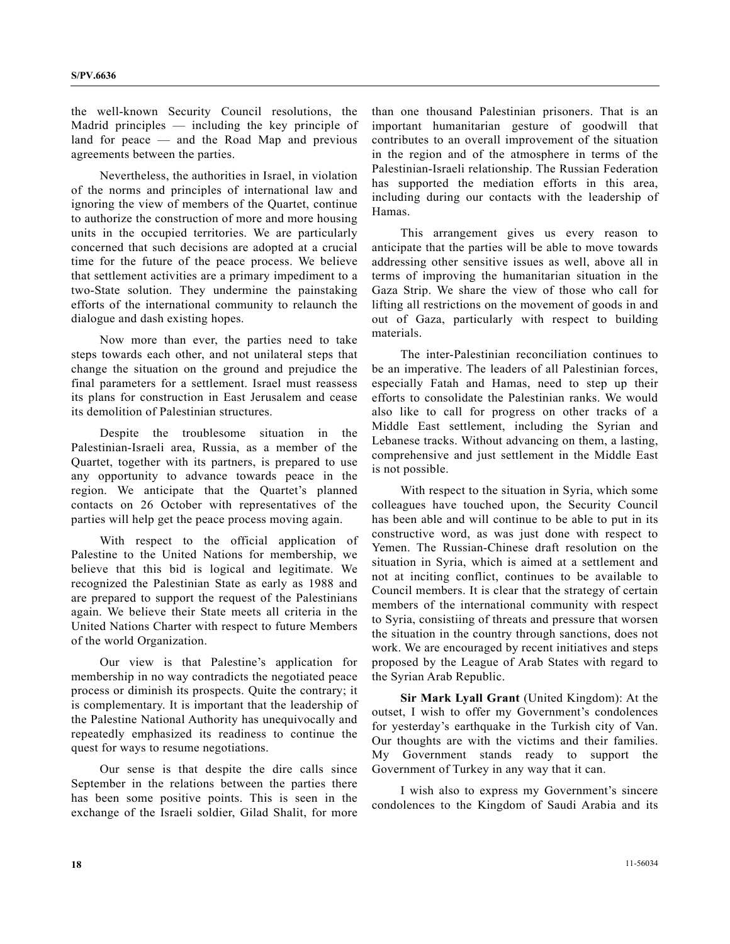the well-known Security Council resolutions, the Madrid principles — including the key principle of land for peace — and the Road Map and previous agreements between the parties.

 Nevertheless, the authorities in Israel, in violation of the norms and principles of international law and ignoring the view of members of the Quartet, continue to authorize the construction of more and more housing units in the occupied territories. We are particularly concerned that such decisions are adopted at a crucial time for the future of the peace process. We believe that settlement activities are a primary impediment to a two-State solution. They undermine the painstaking efforts of the international community to relaunch the dialogue and dash existing hopes.

 Now more than ever, the parties need to take steps towards each other, and not unilateral steps that change the situation on the ground and prejudice the final parameters for a settlement. Israel must reassess its plans for construction in East Jerusalem and cease its demolition of Palestinian structures.

 Despite the troublesome situation in the Palestinian-Israeli area, Russia, as a member of the Quartet, together with its partners, is prepared to use any opportunity to advance towards peace in the region. We anticipate that the Quartet's planned contacts on 26 October with representatives of the parties will help get the peace process moving again.

 With respect to the official application of Palestine to the United Nations for membership, we believe that this bid is logical and legitimate. We recognized the Palestinian State as early as 1988 and are prepared to support the request of the Palestinians again. We believe their State meets all criteria in the United Nations Charter with respect to future Members of the world Organization.

 Our view is that Palestine's application for membership in no way contradicts the negotiated peace process or diminish its prospects. Quite the contrary; it is complementary. It is important that the leadership of the Palestine National Authority has unequivocally and repeatedly emphasized its readiness to continue the quest for ways to resume negotiations.

 Our sense is that despite the dire calls since September in the relations between the parties there has been some positive points. This is seen in the exchange of the Israeli soldier, Gilad Shalit, for more than one thousand Palestinian prisoners. That is an important humanitarian gesture of goodwill that contributes to an overall improvement of the situation in the region and of the atmosphere in terms of the Palestinian-Israeli relationship. The Russian Federation has supported the mediation efforts in this area, including during our contacts with the leadership of Hamas.

 This arrangement gives us every reason to anticipate that the parties will be able to move towards addressing other sensitive issues as well, above all in terms of improving the humanitarian situation in the Gaza Strip. We share the view of those who call for lifting all restrictions on the movement of goods in and out of Gaza, particularly with respect to building materials.

 The inter-Palestinian reconciliation continues to be an imperative. The leaders of all Palestinian forces, especially Fatah and Hamas, need to step up their efforts to consolidate the Palestinian ranks. We would also like to call for progress on other tracks of a Middle East settlement, including the Syrian and Lebanese tracks. Without advancing on them, a lasting, comprehensive and just settlement in the Middle East is not possible.

 With respect to the situation in Syria, which some colleagues have touched upon, the Security Council has been able and will continue to be able to put in its constructive word, as was just done with respect to Yemen. The Russian-Chinese draft resolution on the situation in Syria, which is aimed at a settlement and not at inciting conflict, continues to be available to Council members. It is clear that the strategy of certain members of the international community with respect to Syria, consistiing of threats and pressure that worsen the situation in the country through sanctions, does not work. We are encouraged by recent initiatives and steps proposed by the League of Arab States with regard to the Syrian Arab Republic.

**Sir Mark Lyall Grant** (United Kingdom): At the outset, I wish to offer my Government's condolences for yesterday's earthquake in the Turkish city of Van. Our thoughts are with the victims and their families. My Government stands ready to support the Government of Turkey in any way that it can.

 I wish also to express my Government's sincere condolences to the Kingdom of Saudi Arabia and its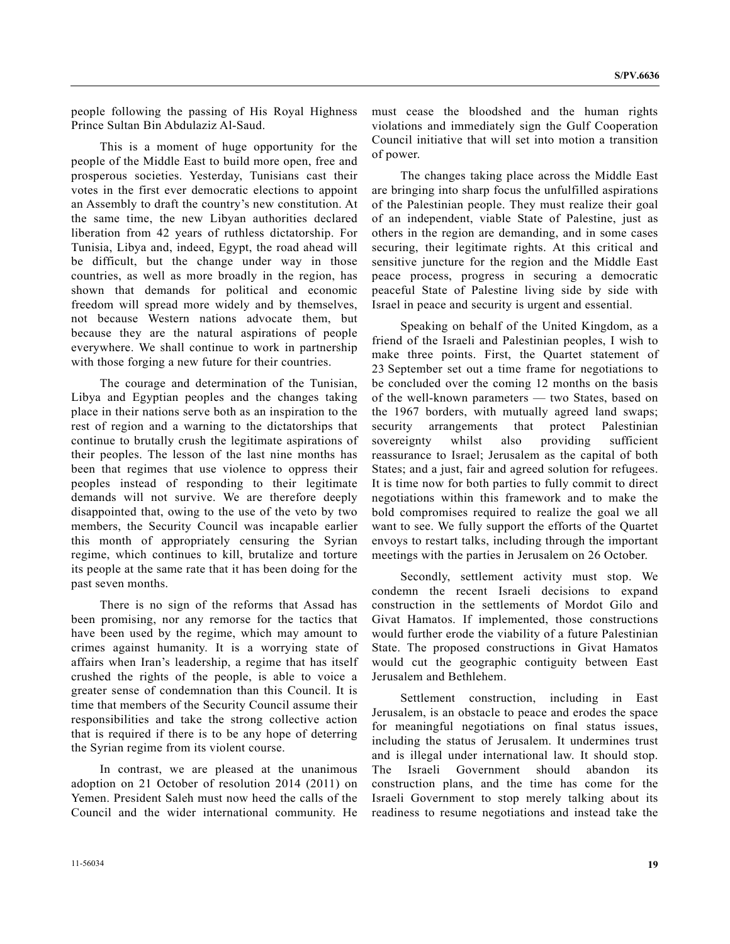people following the passing of His Royal Highness Prince Sultan Bin Abdulaziz Al-Saud.

 This is a moment of huge opportunity for the people of the Middle East to build more open, free and prosperous societies. Yesterday, Tunisians cast their votes in the first ever democratic elections to appoint an Assembly to draft the country's new constitution. At the same time, the new Libyan authorities declared liberation from 42 years of ruthless dictatorship. For Tunisia, Libya and, indeed, Egypt, the road ahead will be difficult, but the change under way in those countries, as well as more broadly in the region, has shown that demands for political and economic freedom will spread more widely and by themselves, not because Western nations advocate them, but because they are the natural aspirations of people everywhere. We shall continue to work in partnership with those forging a new future for their countries.

 The courage and determination of the Tunisian, Libya and Egyptian peoples and the changes taking place in their nations serve both as an inspiration to the rest of region and a warning to the dictatorships that continue to brutally crush the legitimate aspirations of their peoples. The lesson of the last nine months has been that regimes that use violence to oppress their peoples instead of responding to their legitimate demands will not survive. We are therefore deeply disappointed that, owing to the use of the veto by two members, the Security Council was incapable earlier this month of appropriately censuring the Syrian regime, which continues to kill, brutalize and torture its people at the same rate that it has been doing for the past seven months.

 There is no sign of the reforms that Assad has been promising, nor any remorse for the tactics that have been used by the regime, which may amount to crimes against humanity. It is a worrying state of affairs when Iran's leadership, a regime that has itself crushed the rights of the people, is able to voice a greater sense of condemnation than this Council. It is time that members of the Security Council assume their responsibilities and take the strong collective action that is required if there is to be any hope of deterring the Syrian regime from its violent course.

 In contrast, we are pleased at the unanimous adoption on 21 October of resolution 2014 (2011) on Yemen. President Saleh must now heed the calls of the Council and the wider international community. He must cease the bloodshed and the human rights violations and immediately sign the Gulf Cooperation Council initiative that will set into motion a transition of power.

 The changes taking place across the Middle East are bringing into sharp focus the unfulfilled aspirations of the Palestinian people. They must realize their goal of an independent, viable State of Palestine, just as others in the region are demanding, and in some cases securing, their legitimate rights. At this critical and sensitive juncture for the region and the Middle East peace process, progress in securing a democratic peaceful State of Palestine living side by side with Israel in peace and security is urgent and essential.

 Speaking on behalf of the United Kingdom, as a friend of the Israeli and Palestinian peoples, I wish to make three points. First, the Quartet statement of 23 September set out a time frame for negotiations to be concluded over the coming 12 months on the basis of the well-known parameters — two States, based on the 1967 borders, with mutually agreed land swaps; security arrangements that protect Palestinian sovereignty whilst also providing sufficient reassurance to Israel; Jerusalem as the capital of both States; and a just, fair and agreed solution for refugees. It is time now for both parties to fully commit to direct negotiations within this framework and to make the bold compromises required to realize the goal we all want to see. We fully support the efforts of the Quartet envoys to restart talks, including through the important meetings with the parties in Jerusalem on 26 October.

 Secondly, settlement activity must stop. We condemn the recent Israeli decisions to expand construction in the settlements of Mordot Gilo and Givat Hamatos. If implemented, those constructions would further erode the viability of a future Palestinian State. The proposed constructions in Givat Hamatos would cut the geographic contiguity between East Jerusalem and Bethlehem.

 Settlement construction, including in East Jerusalem, is an obstacle to peace and erodes the space for meaningful negotiations on final status issues, including the status of Jerusalem. It undermines trust and is illegal under international law. It should stop. The Israeli Government should abandon its construction plans, and the time has come for the Israeli Government to stop merely talking about its readiness to resume negotiations and instead take the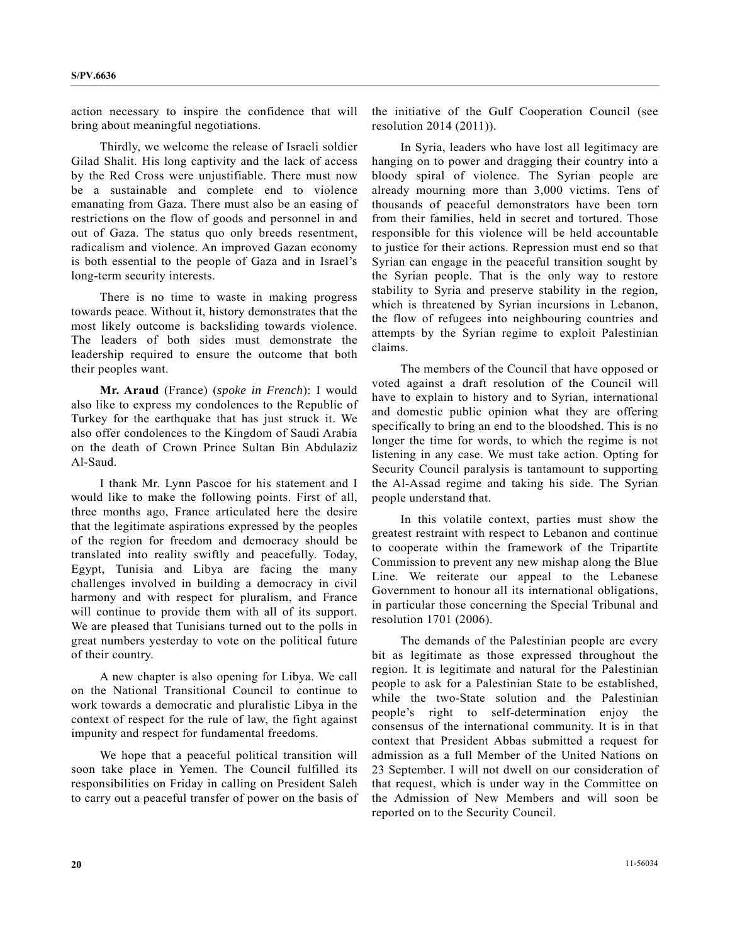action necessary to inspire the confidence that will bring about meaningful negotiations.

 Thirdly, we welcome the release of Israeli soldier Gilad Shalit. His long captivity and the lack of access by the Red Cross were unjustifiable. There must now be a sustainable and complete end to violence emanating from Gaza. There must also be an easing of restrictions on the flow of goods and personnel in and out of Gaza. The status quo only breeds resentment, radicalism and violence. An improved Gazan economy is both essential to the people of Gaza and in Israel's long-term security interests.

 There is no time to waste in making progress towards peace. Without it, history demonstrates that the most likely outcome is backsliding towards violence. The leaders of both sides must demonstrate the leadership required to ensure the outcome that both their peoples want.

**Mr. Araud** (France) (*spoke in French*): I would also like to express my condolences to the Republic of Turkey for the earthquake that has just struck it. We also offer condolences to the Kingdom of Saudi Arabia on the death of Crown Prince Sultan Bin Abdulaziz Al-Saud.

 I thank Mr. Lynn Pascoe for his statement and I would like to make the following points. First of all, three months ago, France articulated here the desire that the legitimate aspirations expressed by the peoples of the region for freedom and democracy should be translated into reality swiftly and peacefully. Today, Egypt, Tunisia and Libya are facing the many challenges involved in building a democracy in civil harmony and with respect for pluralism, and France will continue to provide them with all of its support. We are pleased that Tunisians turned out to the polls in great numbers yesterday to vote on the political future of their country.

 A new chapter is also opening for Libya. We call on the National Transitional Council to continue to work towards a democratic and pluralistic Libya in the context of respect for the rule of law, the fight against impunity and respect for fundamental freedoms.

 We hope that a peaceful political transition will soon take place in Yemen. The Council fulfilled its responsibilities on Friday in calling on President Saleh to carry out a peaceful transfer of power on the basis of the initiative of the Gulf Cooperation Council (see resolution 2014 (2011)).

 In Syria, leaders who have lost all legitimacy are hanging on to power and dragging their country into a bloody spiral of violence. The Syrian people are already mourning more than 3,000 victims. Tens of thousands of peaceful demonstrators have been torn from their families, held in secret and tortured. Those responsible for this violence will be held accountable to justice for their actions. Repression must end so that Syrian can engage in the peaceful transition sought by the Syrian people. That is the only way to restore stability to Syria and preserve stability in the region, which is threatened by Syrian incursions in Lebanon, the flow of refugees into neighbouring countries and attempts by the Syrian regime to exploit Palestinian claims.

 The members of the Council that have opposed or voted against a draft resolution of the Council will have to explain to history and to Syrian, international and domestic public opinion what they are offering specifically to bring an end to the bloodshed. This is no longer the time for words, to which the regime is not listening in any case. We must take action. Opting for Security Council paralysis is tantamount to supporting the Al-Assad regime and taking his side. The Syrian people understand that.

 In this volatile context, parties must show the greatest restraint with respect to Lebanon and continue to cooperate within the framework of the Tripartite Commission to prevent any new mishap along the Blue Line. We reiterate our appeal to the Lebanese Government to honour all its international obligations, in particular those concerning the Special Tribunal and resolution 1701 (2006).

 The demands of the Palestinian people are every bit as legitimate as those expressed throughout the region. It is legitimate and natural for the Palestinian people to ask for a Palestinian State to be established, while the two-State solution and the Palestinian people's right to self-determination enjoy the consensus of the international community. It is in that context that President Abbas submitted a request for admission as a full Member of the United Nations on 23 September. I will not dwell on our consideration of that request, which is under way in the Committee on the Admission of New Members and will soon be reported on to the Security Council.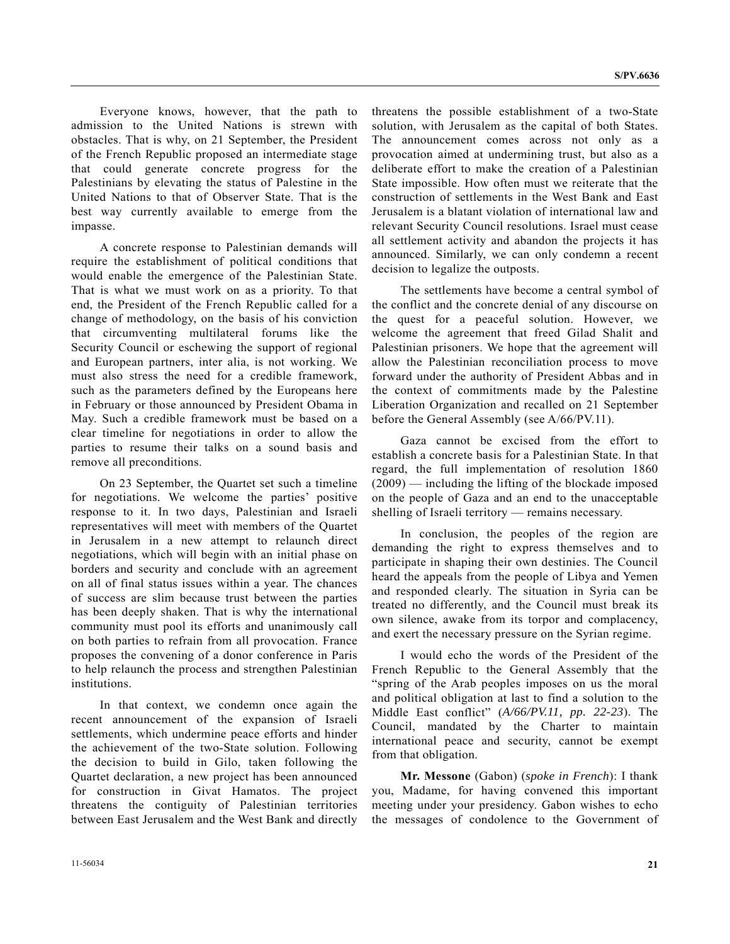Everyone knows, however, that the path to admission to the United Nations is strewn with obstacles. That is why, on 21 September, the President of the French Republic proposed an intermediate stage that could generate concrete progress for the Palestinians by elevating the status of Palestine in the United Nations to that of Observer State. That is the best way currently available to emerge from the impasse.

 A concrete response to Palestinian demands will require the establishment of political conditions that would enable the emergence of the Palestinian State. That is what we must work on as a priority. To that end, the President of the French Republic called for a change of methodology, on the basis of his conviction that circumventing multilateral forums like the Security Council or eschewing the support of regional and European partners, inter alia, is not working. We must also stress the need for a credible framework, such as the parameters defined by the Europeans here in February or those announced by President Obama in May. Such a credible framework must be based on a clear timeline for negotiations in order to allow the parties to resume their talks on a sound basis and remove all preconditions.

 On 23 September, the Quartet set such a timeline for negotiations. We welcome the parties' positive response to it. In two days, Palestinian and Israeli representatives will meet with members of the Quartet in Jerusalem in a new attempt to relaunch direct negotiations, which will begin with an initial phase on borders and security and conclude with an agreement on all of final status issues within a year. The chances of success are slim because trust between the parties has been deeply shaken. That is why the international community must pool its efforts and unanimously call on both parties to refrain from all provocation. France proposes the convening of a donor conference in Paris to help relaunch the process and strengthen Palestinian institutions.

 In that context, we condemn once again the recent announcement of the expansion of Israeli settlements, which undermine peace efforts and hinder the achievement of the two-State solution. Following the decision to build in Gilo, taken following the Quartet declaration, a new project has been announced for construction in Givat Hamatos. The project threatens the contiguity of Palestinian territories between East Jerusalem and the West Bank and directly

threatens the possible establishment of a two-State solution, with Jerusalem as the capital of both States. The announcement comes across not only as a provocation aimed at undermining trust, but also as a deliberate effort to make the creation of a Palestinian State impossible. How often must we reiterate that the construction of settlements in the West Bank and East Jerusalem is a blatant violation of international law and relevant Security Council resolutions. Israel must cease all settlement activity and abandon the projects it has announced. Similarly, we can only condemn a recent decision to legalize the outposts.

 The settlements have become a central symbol of the conflict and the concrete denial of any discourse on the quest for a peaceful solution. However, we welcome the agreement that freed Gilad Shalit and Palestinian prisoners. We hope that the agreement will allow the Palestinian reconciliation process to move forward under the authority of President Abbas and in the context of commitments made by the Palestine Liberation Organization and recalled on 21 September before the General Assembly (see A/66/PV.11).

 Gaza cannot be excised from the effort to establish a concrete basis for a Palestinian State. In that regard, the full implementation of resolution 1860 (2009) — including the lifting of the blockade imposed on the people of Gaza and an end to the unacceptable shelling of Israeli territory — remains necessary.

 In conclusion, the peoples of the region are demanding the right to express themselves and to participate in shaping their own destinies. The Council heard the appeals from the people of Libya and Yemen and responded clearly. The situation in Syria can be treated no differently, and the Council must break its own silence, awake from its torpor and complacency, and exert the necessary pressure on the Syrian regime.

 I would echo the words of the President of the French Republic to the General Assembly that the "spring of the Arab peoples imposes on us the moral and political obligation at last to find a solution to the Middle East conflict" (*A/66/PV.11, pp. 22-23*). The Council, mandated by the Charter to maintain international peace and security, cannot be exempt from that obligation.

**Mr. Messone** (Gabon) (*spoke in French*): I thank you, Madame, for having convened this important meeting under your presidency. Gabon wishes to echo the messages of condolence to the Government of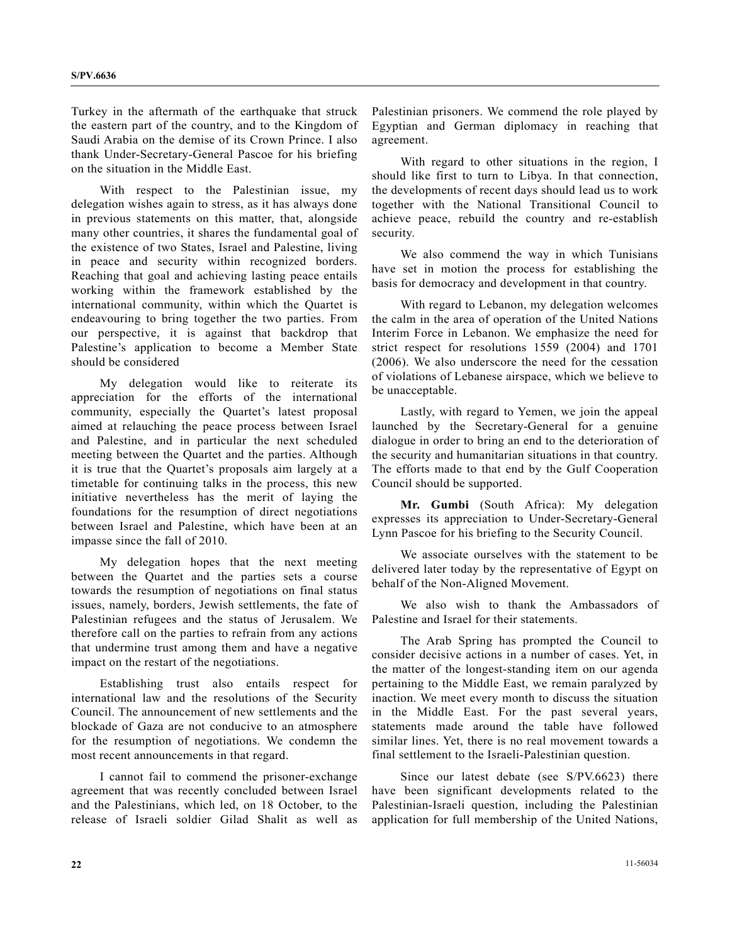Turkey in the aftermath of the earthquake that struck the eastern part of the country, and to the Kingdom of Saudi Arabia on the demise of its Crown Prince. I also thank Under-Secretary-General Pascoe for his briefing on the situation in the Middle East.

 With respect to the Palestinian issue, my delegation wishes again to stress, as it has always done in previous statements on this matter, that, alongside many other countries, it shares the fundamental goal of the existence of two States, Israel and Palestine, living in peace and security within recognized borders. Reaching that goal and achieving lasting peace entails working within the framework established by the international community, within which the Quartet is endeavouring to bring together the two parties. From our perspective, it is against that backdrop that Palestine's application to become a Member State should be considered

 My delegation would like to reiterate its appreciation for the efforts of the international community, especially the Quartet's latest proposal aimed at relauching the peace process between Israel and Palestine, and in particular the next scheduled meeting between the Quartet and the parties. Although it is true that the Quartet's proposals aim largely at a timetable for continuing talks in the process, this new initiative nevertheless has the merit of laying the foundations for the resumption of direct negotiations between Israel and Palestine, which have been at an impasse since the fall of 2010.

 My delegation hopes that the next meeting between the Quartet and the parties sets a course towards the resumption of negotiations on final status issues, namely, borders, Jewish settlements, the fate of Palestinian refugees and the status of Jerusalem. We therefore call on the parties to refrain from any actions that undermine trust among them and have a negative impact on the restart of the negotiations.

 Establishing trust also entails respect for international law and the resolutions of the Security Council. The announcement of new settlements and the blockade of Gaza are not conducive to an atmosphere for the resumption of negotiations. We condemn the most recent announcements in that regard.

 I cannot fail to commend the prisoner-exchange agreement that was recently concluded between Israel and the Palestinians, which led, on 18 October, to the release of Israeli soldier Gilad Shalit as well as Palestinian prisoners. We commend the role played by Egyptian and German diplomacy in reaching that agreement.

 With regard to other situations in the region, I should like first to turn to Libya. In that connection, the developments of recent days should lead us to work together with the National Transitional Council to achieve peace, rebuild the country and re-establish security.

 We also commend the way in which Tunisians have set in motion the process for establishing the basis for democracy and development in that country.

 With regard to Lebanon, my delegation welcomes the calm in the area of operation of the United Nations Interim Force in Lebanon. We emphasize the need for strict respect for resolutions 1559 (2004) and 1701 (2006). We also underscore the need for the cessation of violations of Lebanese airspace, which we believe to be unacceptable.

 Lastly, with regard to Yemen, we join the appeal launched by the Secretary-General for a genuine dialogue in order to bring an end to the deterioration of the security and humanitarian situations in that country. The efforts made to that end by the Gulf Cooperation Council should be supported.

**Mr. Gumbi** (South Africa): My delegation expresses its appreciation to Under-Secretary-General Lynn Pascoe for his briefing to the Security Council.

 We associate ourselves with the statement to be delivered later today by the representative of Egypt on behalf of the Non-Aligned Movement.

 We also wish to thank the Ambassadors of Palestine and Israel for their statements.

 The Arab Spring has prompted the Council to consider decisive actions in a number of cases. Yet, in the matter of the longest-standing item on our agenda pertaining to the Middle East, we remain paralyzed by inaction. We meet every month to discuss the situation in the Middle East. For the past several years, statements made around the table have followed similar lines. Yet, there is no real movement towards a final settlement to the Israeli-Palestinian question.

 Since our latest debate (see S/PV.6623) there have been significant developments related to the Palestinian-Israeli question, including the Palestinian application for full membership of the United Nations,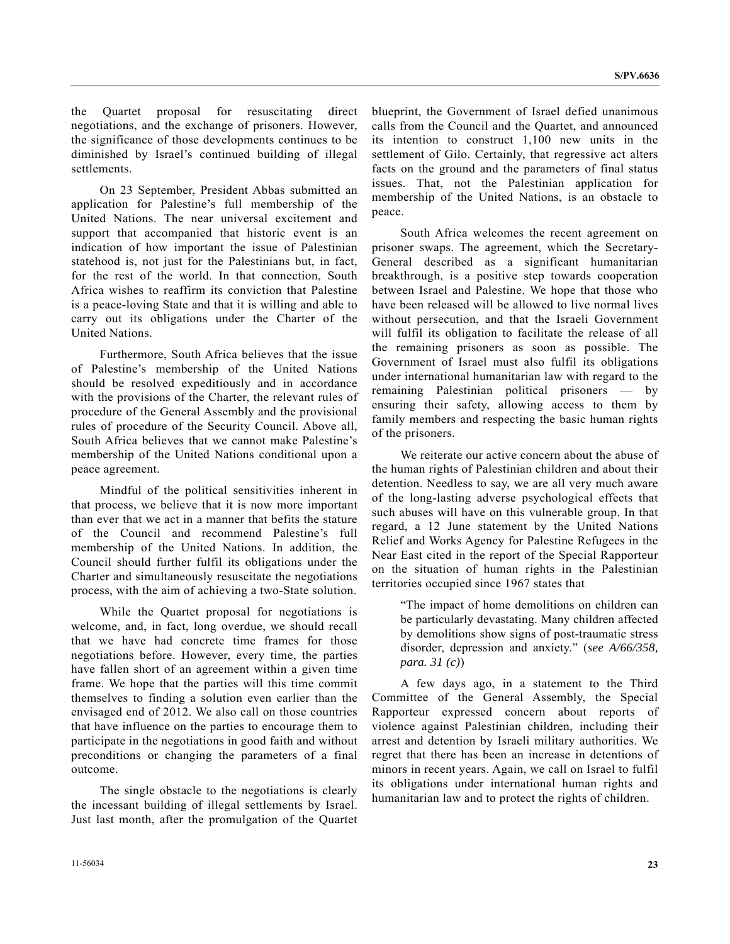the Quartet proposal for resuscitating direct negotiations, and the exchange of prisoners. However, the significance of those developments continues to be diminished by Israel's continued building of illegal settlements.

 On 23 September, President Abbas submitted an application for Palestine's full membership of the United Nations. The near universal excitement and support that accompanied that historic event is an indication of how important the issue of Palestinian statehood is, not just for the Palestinians but, in fact, for the rest of the world. In that connection, South Africa wishes to reaffirm its conviction that Palestine is a peace-loving State and that it is willing and able to carry out its obligations under the Charter of the United Nations.

 Furthermore, South Africa believes that the issue of Palestine's membership of the United Nations should be resolved expeditiously and in accordance with the provisions of the Charter, the relevant rules of procedure of the General Assembly and the provisional rules of procedure of the Security Council. Above all, South Africa believes that we cannot make Palestine's membership of the United Nations conditional upon a peace agreement.

 Mindful of the political sensitivities inherent in that process, we believe that it is now more important than ever that we act in a manner that befits the stature of the Council and recommend Palestine's full membership of the United Nations. In addition, the Council should further fulfil its obligations under the Charter and simultaneously resuscitate the negotiations process, with the aim of achieving a two-State solution.

 While the Quartet proposal for negotiations is welcome, and, in fact, long overdue, we should recall that we have had concrete time frames for those negotiations before. However, every time, the parties have fallen short of an agreement within a given time frame. We hope that the parties will this time commit themselves to finding a solution even earlier than the envisaged end of 2012. We also call on those countries that have influence on the parties to encourage them to participate in the negotiations in good faith and without preconditions or changing the parameters of a final outcome.

 The single obstacle to the negotiations is clearly the incessant building of illegal settlements by Israel. Just last month, after the promulgation of the Quartet blueprint, the Government of Israel defied unanimous calls from the Council and the Quartet, and announced its intention to construct 1,100 new units in the settlement of Gilo. Certainly, that regressive act alters facts on the ground and the parameters of final status issues. That, not the Palestinian application for membership of the United Nations, is an obstacle to peace.

 South Africa welcomes the recent agreement on prisoner swaps. The agreement, which the Secretary-General described as a significant humanitarian breakthrough, is a positive step towards cooperation between Israel and Palestine. We hope that those who have been released will be allowed to live normal lives without persecution, and that the Israeli Government will fulfil its obligation to facilitate the release of all the remaining prisoners as soon as possible. The Government of Israel must also fulfil its obligations under international humanitarian law with regard to the remaining Palestinian political prisoners — by ensuring their safety, allowing access to them by family members and respecting the basic human rights of the prisoners.

 We reiterate our active concern about the abuse of the human rights of Palestinian children and about their detention. Needless to say, we are all very much aware of the long-lasting adverse psychological effects that such abuses will have on this vulnerable group. In that regard, a 12 June statement by the United Nations Relief and Works Agency for Palestine Refugees in the Near East cited in the report of the Special Rapporteur on the situation of human rights in the Palestinian territories occupied since 1967 states that

 "The impact of home demolitions on children can be particularly devastating. Many children affected by demolitions show signs of post-traumatic stress disorder, depression and anxiety." (*see A/66/358, para. 31 (c)*)

 A few days ago, in a statement to the Third Committee of the General Assembly, the Special Rapporteur expressed concern about reports of violence against Palestinian children, including their arrest and detention by Israeli military authorities. We regret that there has been an increase in detentions of minors in recent years. Again, we call on Israel to fulfil its obligations under international human rights and humanitarian law and to protect the rights of children.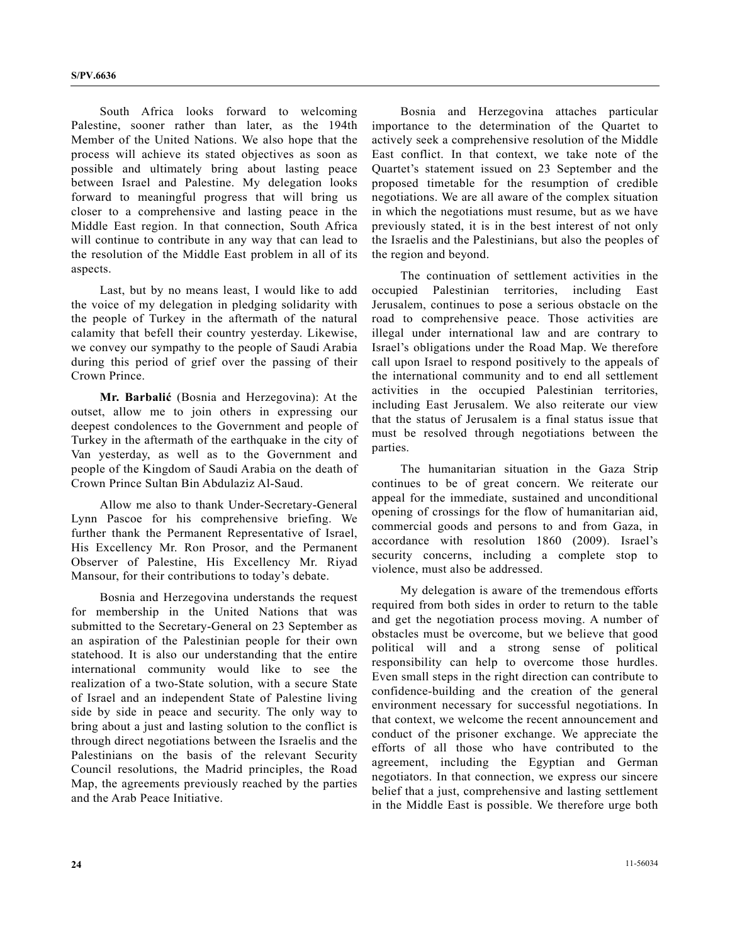South Africa looks forward to welcoming Palestine, sooner rather than later, as the 194th Member of the United Nations. We also hope that the process will achieve its stated objectives as soon as possible and ultimately bring about lasting peace between Israel and Palestine. My delegation looks forward to meaningful progress that will bring us closer to a comprehensive and lasting peace in the Middle East region. In that connection, South Africa will continue to contribute in any way that can lead to the resolution of the Middle East problem in all of its aspects.

 Last, but by no means least, I would like to add the voice of my delegation in pledging solidarity with the people of Turkey in the aftermath of the natural calamity that befell their country yesterday. Likewise, we convey our sympathy to the people of Saudi Arabia during this period of grief over the passing of their Crown Prince.

**Mr. Barbalić** (Bosnia and Herzegovina): At the outset, allow me to join others in expressing our deepest condolences to the Government and people of Turkey in the aftermath of the earthquake in the city of Van yesterday, as well as to the Government and people of the Kingdom of Saudi Arabia on the death of Crown Prince Sultan Bin Abdulaziz Al-Saud.

 Allow me also to thank Under-Secretary-General Lynn Pascoe for his comprehensive briefing. We further thank the Permanent Representative of Israel, His Excellency Mr. Ron Prosor, and the Permanent Observer of Palestine, His Excellency Mr. Riyad Mansour, for their contributions to today's debate.

 Bosnia and Herzegovina understands the request for membership in the United Nations that was submitted to the Secretary-General on 23 September as an aspiration of the Palestinian people for their own statehood. It is also our understanding that the entire international community would like to see the realization of a two-State solution, with a secure State of Israel and an independent State of Palestine living side by side in peace and security. The only way to bring about a just and lasting solution to the conflict is through direct negotiations between the Israelis and the Palestinians on the basis of the relevant Security Council resolutions, the Madrid principles, the Road Map, the agreements previously reached by the parties and the Arab Peace Initiative.

 Bosnia and Herzegovina attaches particular importance to the determination of the Quartet to actively seek a comprehensive resolution of the Middle East conflict. In that context, we take note of the Quartet's statement issued on 23 September and the proposed timetable for the resumption of credible negotiations. We are all aware of the complex situation in which the negotiations must resume, but as we have previously stated, it is in the best interest of not only the Israelis and the Palestinians, but also the peoples of the region and beyond.

 The continuation of settlement activities in the occupied Palestinian territories, including East Jerusalem, continues to pose a serious obstacle on the road to comprehensive peace. Those activities are illegal under international law and are contrary to Israel's obligations under the Road Map. We therefore call upon Israel to respond positively to the appeals of the international community and to end all settlement activities in the occupied Palestinian territories, including East Jerusalem. We also reiterate our view that the status of Jerusalem is a final status issue that must be resolved through negotiations between the parties.

 The humanitarian situation in the Gaza Strip continues to be of great concern. We reiterate our appeal for the immediate, sustained and unconditional opening of crossings for the flow of humanitarian aid, commercial goods and persons to and from Gaza, in accordance with resolution 1860 (2009). Israel's security concerns, including a complete stop to violence, must also be addressed.

 My delegation is aware of the tremendous efforts required from both sides in order to return to the table and get the negotiation process moving. A number of obstacles must be overcome, but we believe that good political will and a strong sense of political responsibility can help to overcome those hurdles. Even small steps in the right direction can contribute to confidence-building and the creation of the general environment necessary for successful negotiations. In that context, we welcome the recent announcement and conduct of the prisoner exchange. We appreciate the efforts of all those who have contributed to the agreement, including the Egyptian and German negotiators. In that connection, we express our sincere belief that a just, comprehensive and lasting settlement in the Middle East is possible. We therefore urge both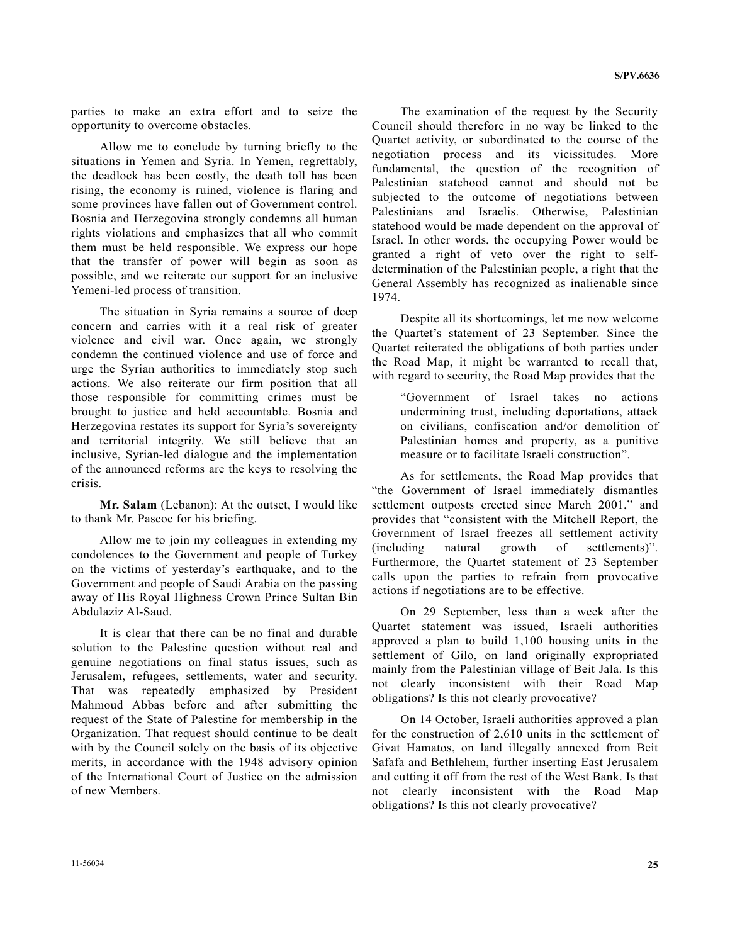parties to make an extra effort and to seize the opportunity to overcome obstacles.

 Allow me to conclude by turning briefly to the situations in Yemen and Syria. In Yemen, regrettably, the deadlock has been costly, the death toll has been rising, the economy is ruined, violence is flaring and some provinces have fallen out of Government control. Bosnia and Herzegovina strongly condemns all human rights violations and emphasizes that all who commit them must be held responsible. We express our hope that the transfer of power will begin as soon as possible, and we reiterate our support for an inclusive Yemeni-led process of transition.

 The situation in Syria remains a source of deep concern and carries with it a real risk of greater violence and civil war. Once again, we strongly condemn the continued violence and use of force and urge the Syrian authorities to immediately stop such actions. We also reiterate our firm position that all those responsible for committing crimes must be brought to justice and held accountable. Bosnia and Herzegovina restates its support for Syria's sovereignty and territorial integrity. We still believe that an inclusive, Syrian-led dialogue and the implementation of the announced reforms are the keys to resolving the crisis.

**Mr. Salam** (Lebanon): At the outset, I would like to thank Mr. Pascoe for his briefing.

 Allow me to join my colleagues in extending my condolences to the Government and people of Turkey on the victims of yesterday's earthquake, and to the Government and people of Saudi Arabia on the passing away of His Royal Highness Crown Prince Sultan Bin Abdulaziz Al-Saud.

 It is clear that there can be no final and durable solution to the Palestine question without real and genuine negotiations on final status issues, such as Jerusalem, refugees, settlements, water and security. That was repeatedly emphasized by President Mahmoud Abbas before and after submitting the request of the State of Palestine for membership in the Organization. That request should continue to be dealt with by the Council solely on the basis of its objective merits, in accordance with the 1948 advisory opinion of the International Court of Justice on the admission of new Members.

 The examination of the request by the Security Council should therefore in no way be linked to the Quartet activity, or subordinated to the course of the negotiation process and its vicissitudes. More fundamental, the question of the recognition of Palestinian statehood cannot and should not be subjected to the outcome of negotiations between Palestinians and Israelis. Otherwise, Palestinian statehood would be made dependent on the approval of Israel. In other words, the occupying Power would be granted a right of veto over the right to selfdetermination of the Palestinian people, a right that the General Assembly has recognized as inalienable since 1974.

 Despite all its shortcomings, let me now welcome the Quartet's statement of 23 September. Since the Quartet reiterated the obligations of both parties under the Road Map, it might be warranted to recall that, with regard to security, the Road Map provides that the

 "Government of Israel takes no actions undermining trust, including deportations, attack on civilians, confiscation and/or demolition of Palestinian homes and property, as a punitive measure or to facilitate Israeli construction".

 As for settlements, the Road Map provides that "the Government of Israel immediately dismantles settlement outposts erected since March 2001," and provides that "consistent with the Mitchell Report, the Government of Israel freezes all settlement activity (including natural growth of settlements)". Furthermore, the Quartet statement of 23 September calls upon the parties to refrain from provocative actions if negotiations are to be effective.

 On 29 September, less than a week after the Quartet statement was issued, Israeli authorities approved a plan to build 1,100 housing units in the settlement of Gilo, on land originally expropriated mainly from the Palestinian village of Beit Jala. Is this not clearly inconsistent with their Road Map obligations? Is this not clearly provocative?

 On 14 October, Israeli authorities approved a plan for the construction of 2,610 units in the settlement of Givat Hamatos, on land illegally annexed from Beit Safafa and Bethlehem, further inserting East Jerusalem and cutting it off from the rest of the West Bank. Is that not clearly inconsistent with the Road Map obligations? Is this not clearly provocative?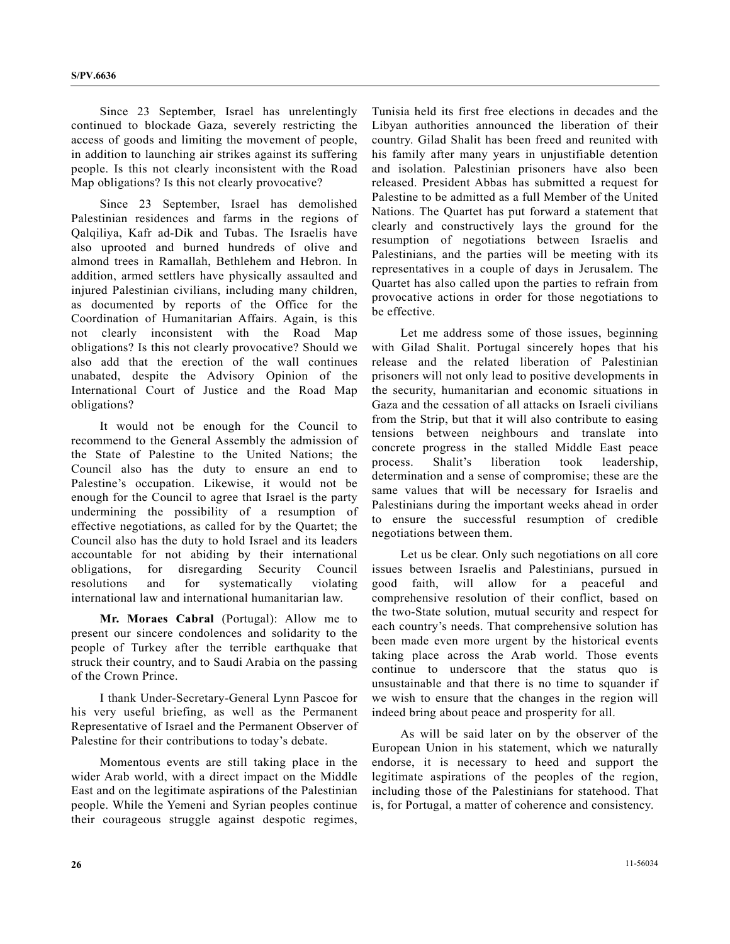Since 23 September, Israel has unrelentingly continued to blockade Gaza, severely restricting the access of goods and limiting the movement of people, in addition to launching air strikes against its suffering people. Is this not clearly inconsistent with the Road Map obligations? Is this not clearly provocative?

 Since 23 September, Israel has demolished Palestinian residences and farms in the regions of Qalqiliya, Kafr ad-Dik and Tubas. The Israelis have also uprooted and burned hundreds of olive and almond trees in Ramallah, Bethlehem and Hebron. In addition, armed settlers have physically assaulted and injured Palestinian civilians, including many children, as documented by reports of the Office for the Coordination of Humanitarian Affairs. Again, is this not clearly inconsistent with the Road Map obligations? Is this not clearly provocative? Should we also add that the erection of the wall continues unabated, despite the Advisory Opinion of the International Court of Justice and the Road Map obligations?

 It would not be enough for the Council to recommend to the General Assembly the admission of the State of Palestine to the United Nations; the Council also has the duty to ensure an end to Palestine's occupation. Likewise, it would not be enough for the Council to agree that Israel is the party undermining the possibility of a resumption of effective negotiations, as called for by the Quartet; the Council also has the duty to hold Israel and its leaders accountable for not abiding by their international obligations, for disregarding Security Council resolutions and for systematically violating international law and international humanitarian law.

**Mr. Moraes Cabral** (Portugal): Allow me to present our sincere condolences and solidarity to the people of Turkey after the terrible earthquake that struck their country, and to Saudi Arabia on the passing of the Crown Prince.

 I thank Under-Secretary-General Lynn Pascoe for his very useful briefing, as well as the Permanent Representative of Israel and the Permanent Observer of Palestine for their contributions to today's debate.

 Momentous events are still taking place in the wider Arab world, with a direct impact on the Middle East and on the legitimate aspirations of the Palestinian people. While the Yemeni and Syrian peoples continue their courageous struggle against despotic regimes, Tunisia held its first free elections in decades and the Libyan authorities announced the liberation of their country. Gilad Shalit has been freed and reunited with his family after many years in unjustifiable detention and isolation. Palestinian prisoners have also been released. President Abbas has submitted a request for Palestine to be admitted as a full Member of the United Nations. The Quartet has put forward a statement that clearly and constructively lays the ground for the resumption of negotiations between Israelis and Palestinians, and the parties will be meeting with its representatives in a couple of days in Jerusalem. The Quartet has also called upon the parties to refrain from provocative actions in order for those negotiations to be effective.

 Let me address some of those issues, beginning with Gilad Shalit. Portugal sincerely hopes that his release and the related liberation of Palestinian prisoners will not only lead to positive developments in the security, humanitarian and economic situations in Gaza and the cessation of all attacks on Israeli civilians from the Strip, but that it will also contribute to easing tensions between neighbours and translate into concrete progress in the stalled Middle East peace process. Shalit's liberation took leadership, determination and a sense of compromise; these are the same values that will be necessary for Israelis and Palestinians during the important weeks ahead in order to ensure the successful resumption of credible negotiations between them.

 Let us be clear. Only such negotiations on all core issues between Israelis and Palestinians, pursued in good faith, will allow for a peaceful and comprehensive resolution of their conflict, based on the two-State solution, mutual security and respect for each country's needs. That comprehensive solution has been made even more urgent by the historical events taking place across the Arab world. Those events continue to underscore that the status quo is unsustainable and that there is no time to squander if we wish to ensure that the changes in the region will indeed bring about peace and prosperity for all.

 As will be said later on by the observer of the European Union in his statement, which we naturally endorse, it is necessary to heed and support the legitimate aspirations of the peoples of the region, including those of the Palestinians for statehood. That is, for Portugal, a matter of coherence and consistency.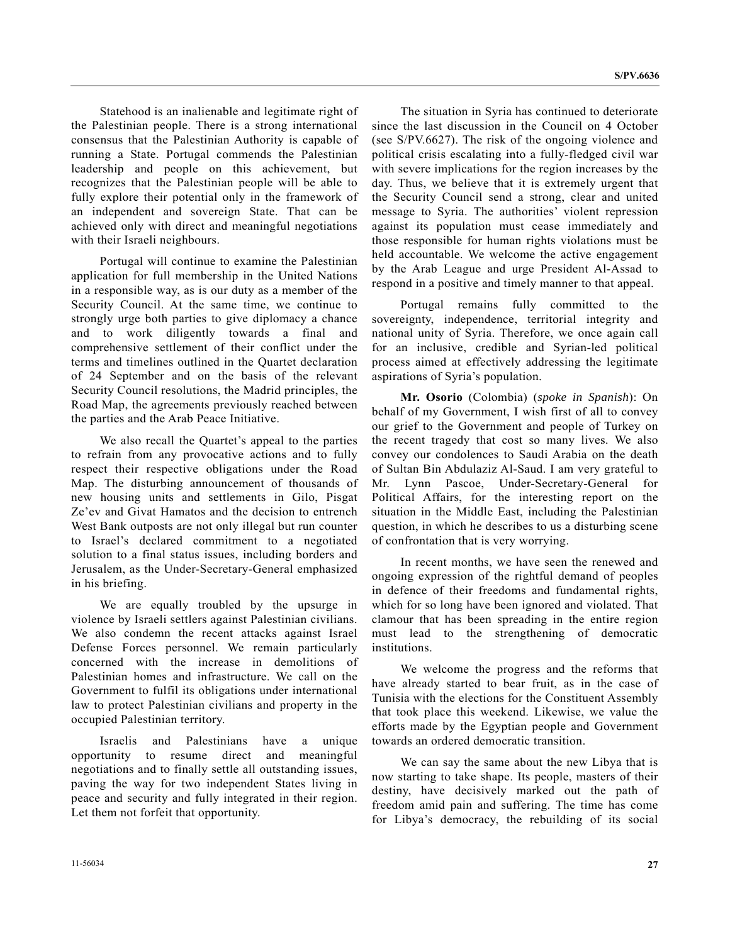Statehood is an inalienable and legitimate right of the Palestinian people. There is a strong international consensus that the Palestinian Authority is capable of running a State. Portugal commends the Palestinian leadership and people on this achievement, but recognizes that the Palestinian people will be able to fully explore their potential only in the framework of an independent and sovereign State. That can be achieved only with direct and meaningful negotiations with their Israeli neighbours.

 Portugal will continue to examine the Palestinian application for full membership in the United Nations in a responsible way, as is our duty as a member of the Security Council. At the same time, we continue to strongly urge both parties to give diplomacy a chance and to work diligently towards a final and comprehensive settlement of their conflict under the terms and timelines outlined in the Quartet declaration of 24 September and on the basis of the relevant Security Council resolutions, the Madrid principles, the Road Map, the agreements previously reached between the parties and the Arab Peace Initiative.

 We also recall the Quartet's appeal to the parties to refrain from any provocative actions and to fully respect their respective obligations under the Road Map. The disturbing announcement of thousands of new housing units and settlements in Gilo, Pisgat Ze'ev and Givat Hamatos and the decision to entrench West Bank outposts are not only illegal but run counter to Israel's declared commitment to a negotiated solution to a final status issues, including borders and Jerusalem, as the Under-Secretary-General emphasized in his briefing.

 We are equally troubled by the upsurge in violence by Israeli settlers against Palestinian civilians. We also condemn the recent attacks against Israel Defense Forces personnel. We remain particularly concerned with the increase in demolitions of Palestinian homes and infrastructure. We call on the Government to fulfil its obligations under international law to protect Palestinian civilians and property in the occupied Palestinian territory.

 Israelis and Palestinians have a unique opportunity to resume direct and meaningful negotiations and to finally settle all outstanding issues, paving the way for two independent States living in peace and security and fully integrated in their region. Let them not forfeit that opportunity.

 The situation in Syria has continued to deteriorate since the last discussion in the Council on 4 October (see S/PV.6627). The risk of the ongoing violence and political crisis escalating into a fully-fledged civil war with severe implications for the region increases by the day. Thus, we believe that it is extremely urgent that the Security Council send a strong, clear and united message to Syria. The authorities' violent repression against its population must cease immediately and those responsible for human rights violations must be held accountable. We welcome the active engagement by the Arab League and urge President Al-Assad to respond in a positive and timely manner to that appeal.

 Portugal remains fully committed to the sovereignty, independence, territorial integrity and national unity of Syria. Therefore, we once again call for an inclusive, credible and Syrian-led political process aimed at effectively addressing the legitimate aspirations of Syria's population.

**Mr. Osorio** (Colombia) (*spoke in Spanish*): On behalf of my Government, I wish first of all to convey our grief to the Government and people of Turkey on the recent tragedy that cost so many lives. We also convey our condolences to Saudi Arabia on the death of Sultan Bin Abdulaziz Al-Saud. I am very grateful to Mr. Lynn Pascoe, Under-Secretary-General for Political Affairs, for the interesting report on the situation in the Middle East, including the Palestinian question, in which he describes to us a disturbing scene of confrontation that is very worrying.

 In recent months, we have seen the renewed and ongoing expression of the rightful demand of peoples in defence of their freedoms and fundamental rights, which for so long have been ignored and violated. That clamour that has been spreading in the entire region must lead to the strengthening of democratic institutions.

 We welcome the progress and the reforms that have already started to bear fruit, as in the case of Tunisia with the elections for the Constituent Assembly that took place this weekend. Likewise, we value the efforts made by the Egyptian people and Government towards an ordered democratic transition.

 We can say the same about the new Libya that is now starting to take shape. Its people, masters of their destiny, have decisively marked out the path of freedom amid pain and suffering. The time has come for Libya's democracy, the rebuilding of its social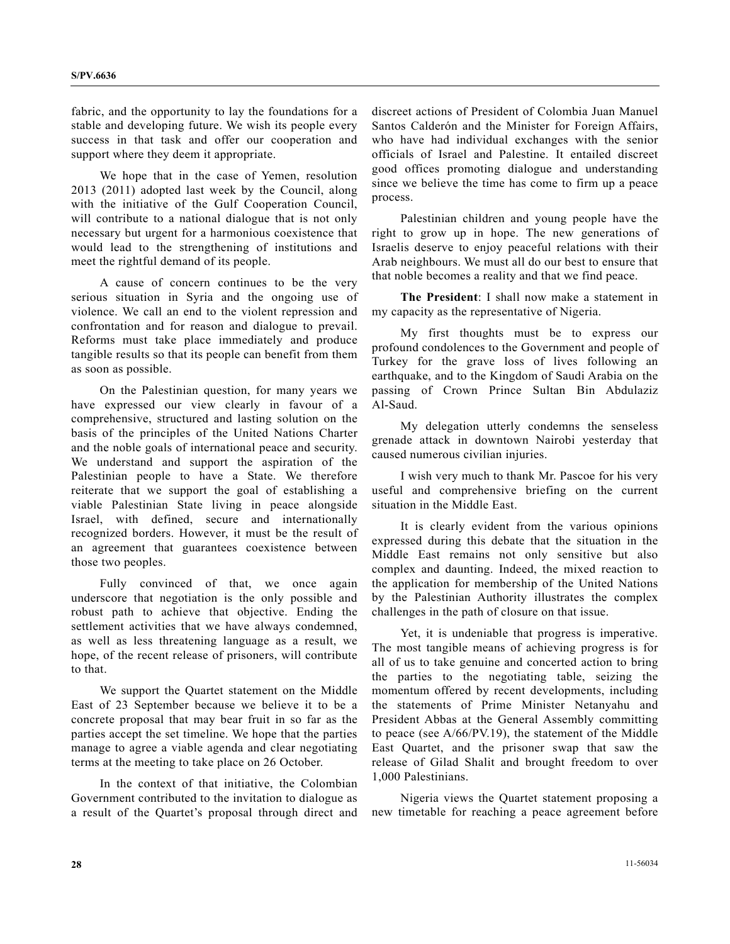fabric, and the opportunity to lay the foundations for a stable and developing future. We wish its people every success in that task and offer our cooperation and support where they deem it appropriate.

 We hope that in the case of Yemen, resolution 2013 (2011) adopted last week by the Council, along with the initiative of the Gulf Cooperation Council, will contribute to a national dialogue that is not only necessary but urgent for a harmonious coexistence that would lead to the strengthening of institutions and meet the rightful demand of its people.

 A cause of concern continues to be the very serious situation in Syria and the ongoing use of violence. We call an end to the violent repression and confrontation and for reason and dialogue to prevail. Reforms must take place immediately and produce tangible results so that its people can benefit from them as soon as possible.

 On the Palestinian question, for many years we have expressed our view clearly in favour of a comprehensive, structured and lasting solution on the basis of the principles of the United Nations Charter and the noble goals of international peace and security. We understand and support the aspiration of the Palestinian people to have a State. We therefore reiterate that we support the goal of establishing a viable Palestinian State living in peace alongside Israel, with defined, secure and internationally recognized borders. However, it must be the result of an agreement that guarantees coexistence between those two peoples.

 Fully convinced of that, we once again underscore that negotiation is the only possible and robust path to achieve that objective. Ending the settlement activities that we have always condemned, as well as less threatening language as a result, we hope, of the recent release of prisoners, will contribute to that.

 We support the Quartet statement on the Middle East of 23 September because we believe it to be a concrete proposal that may bear fruit in so far as the parties accept the set timeline. We hope that the parties manage to agree a viable agenda and clear negotiating terms at the meeting to take place on 26 October.

 In the context of that initiative, the Colombian Government contributed to the invitation to dialogue as a result of the Quartet's proposal through direct and discreet actions of President of Colombia Juan Manuel Santos Calderón and the Minister for Foreign Affairs, who have had individual exchanges with the senior officials of Israel and Palestine. It entailed discreet good offices promoting dialogue and understanding since we believe the time has come to firm up a peace process.

 Palestinian children and young people have the right to grow up in hope. The new generations of Israelis deserve to enjoy peaceful relations with their Arab neighbours. We must all do our best to ensure that that noble becomes a reality and that we find peace.

**The President**: I shall now make a statement in my capacity as the representative of Nigeria.

 My first thoughts must be to express our profound condolences to the Government and people of Turkey for the grave loss of lives following an earthquake, and to the Kingdom of Saudi Arabia on the passing of Crown Prince Sultan Bin Abdulaziz Al-Saud.

 My delegation utterly condemns the senseless grenade attack in downtown Nairobi yesterday that caused numerous civilian injuries.

 I wish very much to thank Mr. Pascoe for his very useful and comprehensive briefing on the current situation in the Middle East.

 It is clearly evident from the various opinions expressed during this debate that the situation in the Middle East remains not only sensitive but also complex and daunting. Indeed, the mixed reaction to the application for membership of the United Nations by the Palestinian Authority illustrates the complex challenges in the path of closure on that issue.

 Yet, it is undeniable that progress is imperative. The most tangible means of achieving progress is for all of us to take genuine and concerted action to bring the parties to the negotiating table, seizing the momentum offered by recent developments, including the statements of Prime Minister Netanyahu and President Abbas at the General Assembly committing to peace (see A/66/PV.19), the statement of the Middle East Quartet, and the prisoner swap that saw the release of Gilad Shalit and brought freedom to over 1,000 Palestinians.

 Nigeria views the Quartet statement proposing a new timetable for reaching a peace agreement before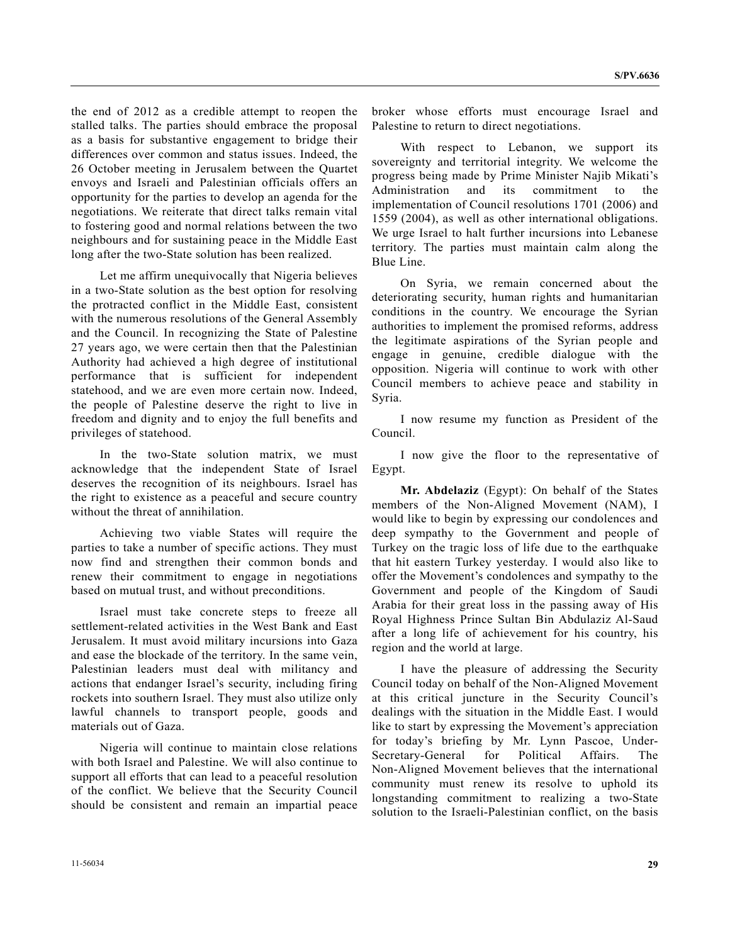the end of 2012 as a credible attempt to reopen the stalled talks. The parties should embrace the proposal as a basis for substantive engagement to bridge their differences over common and status issues. Indeed, the 26 October meeting in Jerusalem between the Quartet envoys and Israeli and Palestinian officials offers an opportunity for the parties to develop an agenda for the negotiations. We reiterate that direct talks remain vital to fostering good and normal relations between the two neighbours and for sustaining peace in the Middle East long after the two-State solution has been realized.

 Let me affirm unequivocally that Nigeria believes in a two-State solution as the best option for resolving the protracted conflict in the Middle East, consistent with the numerous resolutions of the General Assembly and the Council. In recognizing the State of Palestine 27 years ago, we were certain then that the Palestinian Authority had achieved a high degree of institutional performance that is sufficient for independent statehood, and we are even more certain now. Indeed, the people of Palestine deserve the right to live in freedom and dignity and to enjoy the full benefits and privileges of statehood.

 In the two-State solution matrix, we must acknowledge that the independent State of Israel deserves the recognition of its neighbours. Israel has the right to existence as a peaceful and secure country without the threat of annihilation.

 Achieving two viable States will require the parties to take a number of specific actions. They must now find and strengthen their common bonds and renew their commitment to engage in negotiations based on mutual trust, and without preconditions.

 Israel must take concrete steps to freeze all settlement-related activities in the West Bank and East Jerusalem. It must avoid military incursions into Gaza and ease the blockade of the territory. In the same vein, Palestinian leaders must deal with militancy and actions that endanger Israel's security, including firing rockets into southern Israel. They must also utilize only lawful channels to transport people, goods and materials out of Gaza.

 Nigeria will continue to maintain close relations with both Israel and Palestine. We will also continue to support all efforts that can lead to a peaceful resolution of the conflict. We believe that the Security Council should be consistent and remain an impartial peace broker whose efforts must encourage Israel and Palestine to return to direct negotiations.

 With respect to Lebanon, we support its sovereignty and territorial integrity. We welcome the progress being made by Prime Minister Najib Mikati's Administration and its commitment to the implementation of Council resolutions 1701 (2006) and 1559 (2004), as well as other international obligations. We urge Israel to halt further incursions into Lebanese territory. The parties must maintain calm along the Blue Line.

 On Syria, we remain concerned about the deteriorating security, human rights and humanitarian conditions in the country. We encourage the Syrian authorities to implement the promised reforms, address the legitimate aspirations of the Syrian people and engage in genuine, credible dialogue with the opposition. Nigeria will continue to work with other Council members to achieve peace and stability in Syria.

 I now resume my function as President of the Council.

 I now give the floor to the representative of Egypt.

**Mr. Abdelaziz** (Egypt): On behalf of the States members of the Non-Aligned Movement (NAM), I would like to begin by expressing our condolences and deep sympathy to the Government and people of Turkey on the tragic loss of life due to the earthquake that hit eastern Turkey yesterday. I would also like to offer the Movement's condolences and sympathy to the Government and people of the Kingdom of Saudi Arabia for their great loss in the passing away of His Royal Highness Prince Sultan Bin Abdulaziz Al-Saud after a long life of achievement for his country, his region and the world at large.

 I have the pleasure of addressing the Security Council today on behalf of the Non-Aligned Movement at this critical juncture in the Security Council's dealings with the situation in the Middle East. I would like to start by expressing the Movement's appreciation for today's briefing by Mr. Lynn Pascoe, Under-Secretary-General for Political Affairs. The Non-Aligned Movement believes that the international community must renew its resolve to uphold its longstanding commitment to realizing a two-State solution to the Israeli-Palestinian conflict, on the basis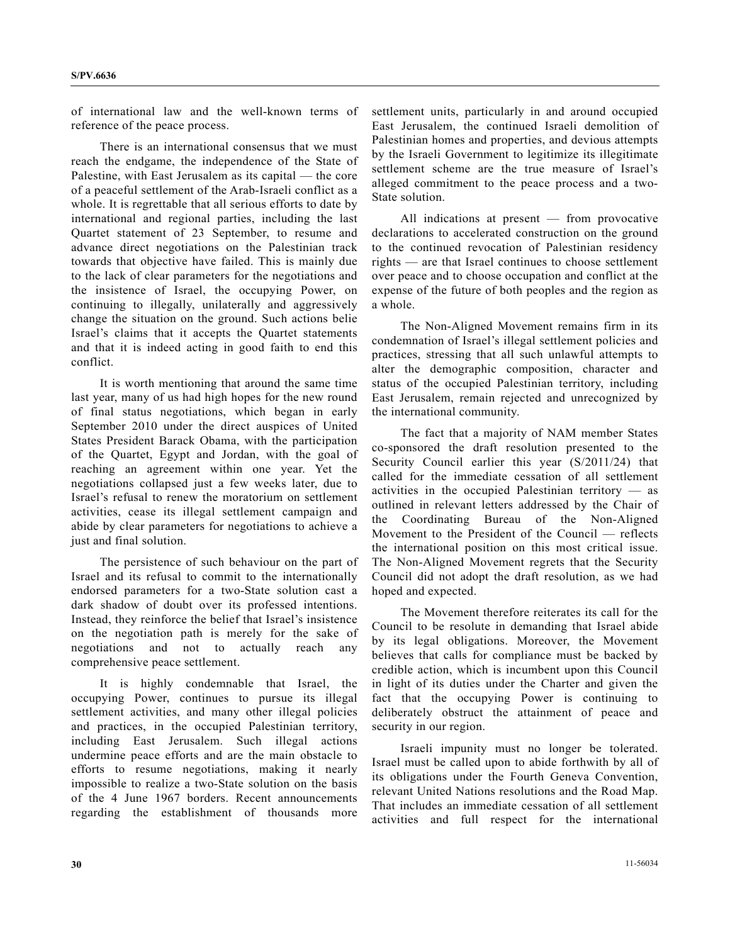of international law and the well-known terms of reference of the peace process.

 There is an international consensus that we must reach the endgame, the independence of the State of Palestine, with East Jerusalem as its capital — the core of a peaceful settlement of the Arab-Israeli conflict as a whole. It is regrettable that all serious efforts to date by international and regional parties, including the last Quartet statement of 23 September, to resume and advance direct negotiations on the Palestinian track towards that objective have failed. This is mainly due to the lack of clear parameters for the negotiations and the insistence of Israel, the occupying Power, on continuing to illegally, unilaterally and aggressively change the situation on the ground. Such actions belie Israel's claims that it accepts the Quartet statements and that it is indeed acting in good faith to end this conflict.

 It is worth mentioning that around the same time last year, many of us had high hopes for the new round of final status negotiations, which began in early September 2010 under the direct auspices of United States President Barack Obama, with the participation of the Quartet, Egypt and Jordan, with the goal of reaching an agreement within one year. Yet the negotiations collapsed just a few weeks later, due to Israel's refusal to renew the moratorium on settlement activities, cease its illegal settlement campaign and abide by clear parameters for negotiations to achieve a just and final solution.

 The persistence of such behaviour on the part of Israel and its refusal to commit to the internationally endorsed parameters for a two-State solution cast a dark shadow of doubt over its professed intentions. Instead, they reinforce the belief that Israel's insistence on the negotiation path is merely for the sake of negotiations and not to actually reach any comprehensive peace settlement.

 It is highly condemnable that Israel, the occupying Power, continues to pursue its illegal settlement activities, and many other illegal policies and practices, in the occupied Palestinian territory, including East Jerusalem. Such illegal actions undermine peace efforts and are the main obstacle to efforts to resume negotiations, making it nearly impossible to realize a two-State solution on the basis of the 4 June 1967 borders. Recent announcements regarding the establishment of thousands more

settlement units, particularly in and around occupied East Jerusalem, the continued Israeli demolition of Palestinian homes and properties, and devious attempts by the Israeli Government to legitimize its illegitimate settlement scheme are the true measure of Israel's alleged commitment to the peace process and a two-State solution.

 All indications at present — from provocative declarations to accelerated construction on the ground to the continued revocation of Palestinian residency rights — are that Israel continues to choose settlement over peace and to choose occupation and conflict at the expense of the future of both peoples and the region as a whole.

 The Non-Aligned Movement remains firm in its condemnation of Israel's illegal settlement policies and practices, stressing that all such unlawful attempts to alter the demographic composition, character and status of the occupied Palestinian territory, including East Jerusalem, remain rejected and unrecognized by the international community.

 The fact that a majority of NAM member States co-sponsored the draft resolution presented to the Security Council earlier this year (S/2011/24) that called for the immediate cessation of all settlement activities in the occupied Palestinian territory — as outlined in relevant letters addressed by the Chair of the Coordinating Bureau of the Non-Aligned Movement to the President of the Council — reflects the international position on this most critical issue. The Non-Aligned Movement regrets that the Security Council did not adopt the draft resolution, as we had hoped and expected.

 The Movement therefore reiterates its call for the Council to be resolute in demanding that Israel abide by its legal obligations. Moreover, the Movement believes that calls for compliance must be backed by credible action, which is incumbent upon this Council in light of its duties under the Charter and given the fact that the occupying Power is continuing to deliberately obstruct the attainment of peace and security in our region.

 Israeli impunity must no longer be tolerated. Israel must be called upon to abide forthwith by all of its obligations under the Fourth Geneva Convention, relevant United Nations resolutions and the Road Map. That includes an immediate cessation of all settlement activities and full respect for the international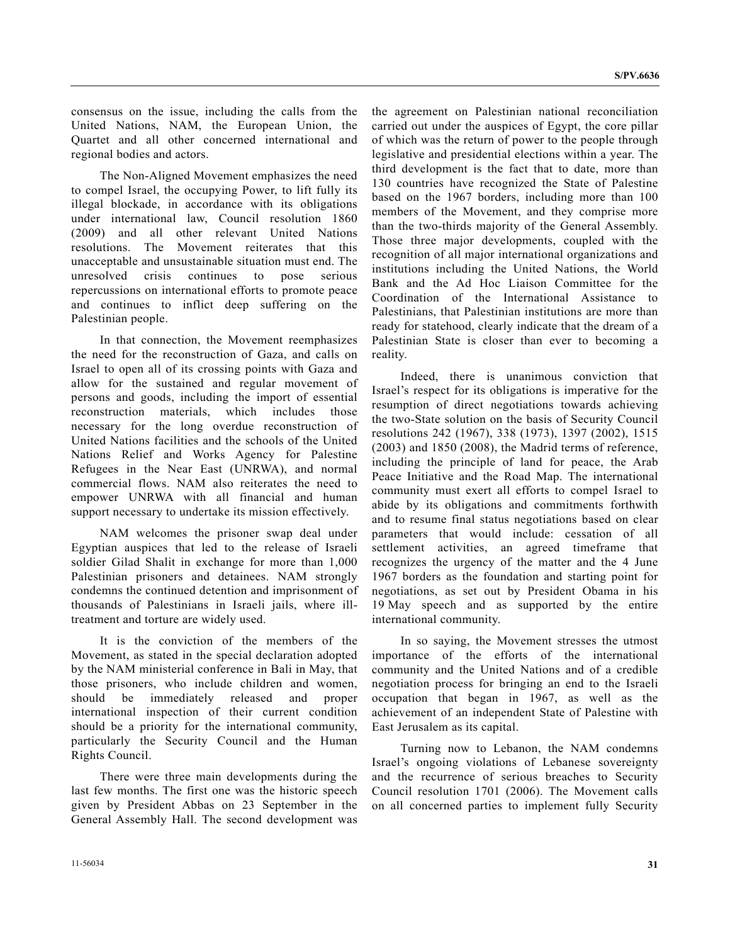consensus on the issue, including the calls from the United Nations, NAM, the European Union, the Quartet and all other concerned international and regional bodies and actors.

 The Non-Aligned Movement emphasizes the need to compel Israel, the occupying Power, to lift fully its illegal blockade, in accordance with its obligations under international law, Council resolution 1860 (2009) and all other relevant United Nations resolutions. The Movement reiterates that this unacceptable and unsustainable situation must end. The unresolved crisis continues to pose serious repercussions on international efforts to promote peace and continues to inflict deep suffering on the Palestinian people.

 In that connection, the Movement reemphasizes the need for the reconstruction of Gaza, and calls on Israel to open all of its crossing points with Gaza and allow for the sustained and regular movement of persons and goods, including the import of essential reconstruction materials, which includes those necessary for the long overdue reconstruction of United Nations facilities and the schools of the United Nations Relief and Works Agency for Palestine Refugees in the Near East (UNRWA), and normal commercial flows. NAM also reiterates the need to empower UNRWA with all financial and human support necessary to undertake its mission effectively.

 NAM welcomes the prisoner swap deal under Egyptian auspices that led to the release of Israeli soldier Gilad Shalit in exchange for more than 1,000 Palestinian prisoners and detainees. NAM strongly condemns the continued detention and imprisonment of thousands of Palestinians in Israeli jails, where illtreatment and torture are widely used.

 It is the conviction of the members of the Movement, as stated in the special declaration adopted by the NAM ministerial conference in Bali in May, that those prisoners, who include children and women, should be immediately released and proper international inspection of their current condition should be a priority for the international community, particularly the Security Council and the Human Rights Council.

 There were three main developments during the last few months. The first one was the historic speech given by President Abbas on 23 September in the General Assembly Hall. The second development was

the agreement on Palestinian national reconciliation carried out under the auspices of Egypt, the core pillar of which was the return of power to the people through legislative and presidential elections within a year. The third development is the fact that to date, more than 130 countries have recognized the State of Palestine based on the 1967 borders, including more than 100 members of the Movement, and they comprise more than the two-thirds majority of the General Assembly. Those three major developments, coupled with the recognition of all major international organizations and institutions including the United Nations, the World Bank and the Ad Hoc Liaison Committee for the Coordination of the International Assistance to Palestinians, that Palestinian institutions are more than ready for statehood, clearly indicate that the dream of a Palestinian State is closer than ever to becoming a reality.

 Indeed, there is unanimous conviction that Israel's respect for its obligations is imperative for the resumption of direct negotiations towards achieving the two-State solution on the basis of Security Council resolutions 242 (1967), 338 (1973), 1397 (2002), 1515 (2003) and 1850 (2008), the Madrid terms of reference, including the principle of land for peace, the Arab Peace Initiative and the Road Map. The international community must exert all efforts to compel Israel to abide by its obligations and commitments forthwith and to resume final status negotiations based on clear parameters that would include: cessation of all settlement activities, an agreed timeframe that recognizes the urgency of the matter and the 4 June 1967 borders as the foundation and starting point for negotiations, as set out by President Obama in his 19 May speech and as supported by the entire international community.

 In so saying, the Movement stresses the utmost importance of the efforts of the international community and the United Nations and of a credible negotiation process for bringing an end to the Israeli occupation that began in 1967, as well as the achievement of an independent State of Palestine with East Jerusalem as its capital.

 Turning now to Lebanon, the NAM condemns Israel's ongoing violations of Lebanese sovereignty and the recurrence of serious breaches to Security Council resolution 1701 (2006). The Movement calls on all concerned parties to implement fully Security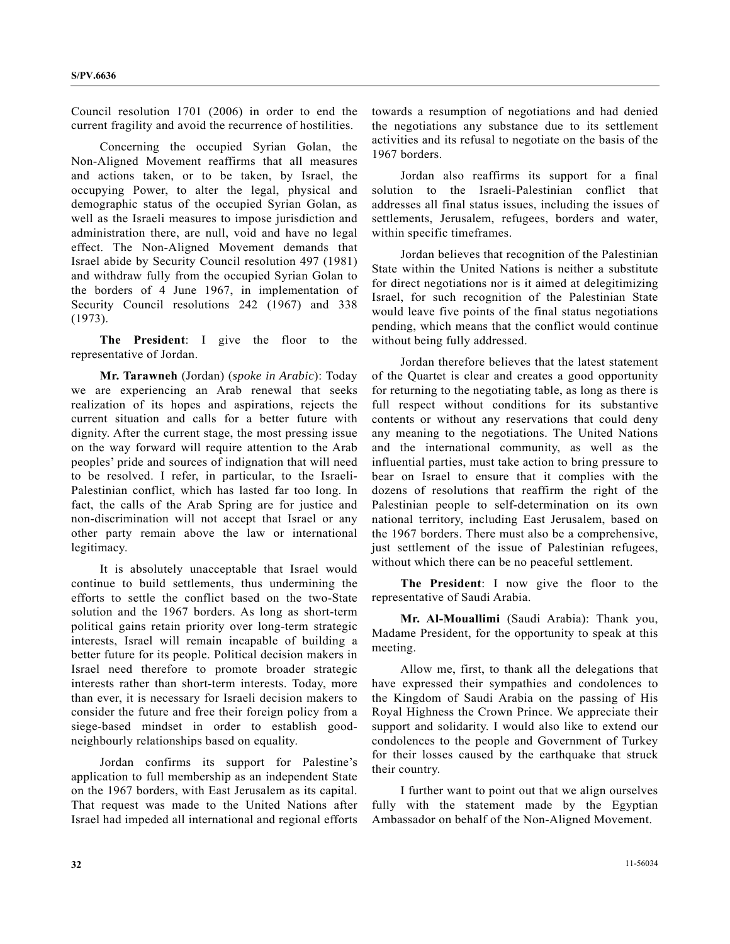Council resolution 1701 (2006) in order to end the current fragility and avoid the recurrence of hostilities.

 Concerning the occupied Syrian Golan, the Non-Aligned Movement reaffirms that all measures and actions taken, or to be taken, by Israel, the occupying Power, to alter the legal, physical and demographic status of the occupied Syrian Golan, as well as the Israeli measures to impose jurisdiction and administration there, are null, void and have no legal effect. The Non-Aligned Movement demands that Israel abide by Security Council resolution 497 (1981) and withdraw fully from the occupied Syrian Golan to the borders of 4 June 1967, in implementation of Security Council resolutions 242 (1967) and 338 (1973).

**The President**: I give the floor to the representative of Jordan.

**Mr. Tarawneh** (Jordan) (*spoke in Arabic*): Today we are experiencing an Arab renewal that seeks realization of its hopes and aspirations, rejects the current situation and calls for a better future with dignity. After the current stage, the most pressing issue on the way forward will require attention to the Arab peoples' pride and sources of indignation that will need to be resolved. I refer, in particular, to the Israeli-Palestinian conflict, which has lasted far too long. In fact, the calls of the Arab Spring are for justice and non-discrimination will not accept that Israel or any other party remain above the law or international legitimacy.

 It is absolutely unacceptable that Israel would continue to build settlements, thus undermining the efforts to settle the conflict based on the two-State solution and the 1967 borders. As long as short-term political gains retain priority over long-term strategic interests, Israel will remain incapable of building a better future for its people. Political decision makers in Israel need therefore to promote broader strategic interests rather than short-term interests. Today, more than ever, it is necessary for Israeli decision makers to consider the future and free their foreign policy from a siege-based mindset in order to establish goodneighbourly relationships based on equality.

 Jordan confirms its support for Palestine's application to full membership as an independent State on the 1967 borders, with East Jerusalem as its capital. That request was made to the United Nations after Israel had impeded all international and regional efforts

towards a resumption of negotiations and had denied the negotiations any substance due to its settlement activities and its refusal to negotiate on the basis of the 1967 borders.

 Jordan also reaffirms its support for a final solution to the Israeli-Palestinian conflict that addresses all final status issues, including the issues of settlements, Jerusalem, refugees, borders and water, within specific timeframes.

 Jordan believes that recognition of the Palestinian State within the United Nations is neither a substitute for direct negotiations nor is it aimed at delegitimizing Israel, for such recognition of the Palestinian State would leave five points of the final status negotiations pending, which means that the conflict would continue without being fully addressed.

 Jordan therefore believes that the latest statement of the Quartet is clear and creates a good opportunity for returning to the negotiating table, as long as there is full respect without conditions for its substantive contents or without any reservations that could deny any meaning to the negotiations. The United Nations and the international community, as well as the influential parties, must take action to bring pressure to bear on Israel to ensure that it complies with the dozens of resolutions that reaffirm the right of the Palestinian people to self-determination on its own national territory, including East Jerusalem, based on the 1967 borders. There must also be a comprehensive, just settlement of the issue of Palestinian refugees, without which there can be no peaceful settlement.

**The President**: I now give the floor to the representative of Saudi Arabia.

**Mr. Al-Mouallimi** (Saudi Arabia): Thank you, Madame President, for the opportunity to speak at this meeting.

 Allow me, first, to thank all the delegations that have expressed their sympathies and condolences to the Kingdom of Saudi Arabia on the passing of His Royal Highness the Crown Prince. We appreciate their support and solidarity. I would also like to extend our condolences to the people and Government of Turkey for their losses caused by the earthquake that struck their country.

 I further want to point out that we align ourselves fully with the statement made by the Egyptian Ambassador on behalf of the Non-Aligned Movement.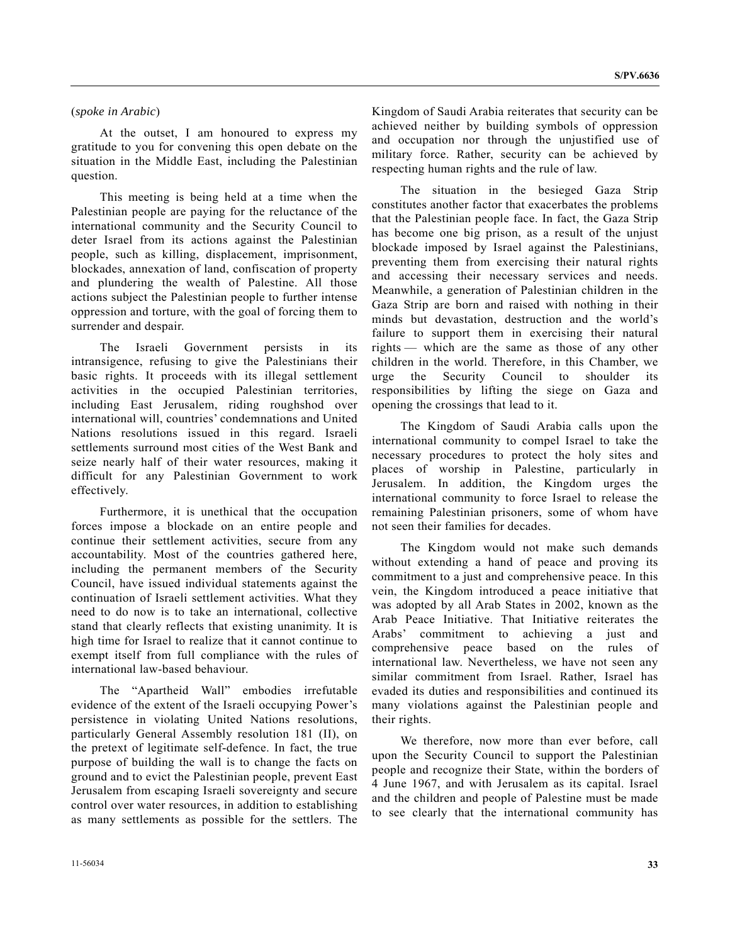#### (*spoke in Arabic*)

 At the outset, I am honoured to express my gratitude to you for convening this open debate on the situation in the Middle East, including the Palestinian question.

 This meeting is being held at a time when the Palestinian people are paying for the reluctance of the international community and the Security Council to deter Israel from its actions against the Palestinian people, such as killing, displacement, imprisonment, blockades, annexation of land, confiscation of property and plundering the wealth of Palestine. All those actions subject the Palestinian people to further intense oppression and torture, with the goal of forcing them to surrender and despair.

 The Israeli Government persists in its intransigence, refusing to give the Palestinians their basic rights. It proceeds with its illegal settlement activities in the occupied Palestinian territories, including East Jerusalem, riding roughshod over international will, countries' condemnations and United Nations resolutions issued in this regard. Israeli settlements surround most cities of the West Bank and seize nearly half of their water resources, making it difficult for any Palestinian Government to work effectively.

 Furthermore, it is unethical that the occupation forces impose a blockade on an entire people and continue their settlement activities, secure from any accountability. Most of the countries gathered here, including the permanent members of the Security Council, have issued individual statements against the continuation of Israeli settlement activities. What they need to do now is to take an international, collective stand that clearly reflects that existing unanimity. It is high time for Israel to realize that it cannot continue to exempt itself from full compliance with the rules of international law-based behaviour.

 The "Apartheid Wall" embodies irrefutable evidence of the extent of the Israeli occupying Power's persistence in violating United Nations resolutions, particularly General Assembly resolution 181 (II), on the pretext of legitimate self-defence. In fact, the true purpose of building the wall is to change the facts on ground and to evict the Palestinian people, prevent East Jerusalem from escaping Israeli sovereignty and secure control over water resources, in addition to establishing as many settlements as possible for the settlers. The

Kingdom of Saudi Arabia reiterates that security can be achieved neither by building symbols of oppression and occupation nor through the unjustified use of military force. Rather, security can be achieved by respecting human rights and the rule of law.

 The situation in the besieged Gaza Strip constitutes another factor that exacerbates the problems that the Palestinian people face. In fact, the Gaza Strip has become one big prison, as a result of the unjust blockade imposed by Israel against the Palestinians, preventing them from exercising their natural rights and accessing their necessary services and needs. Meanwhile, a generation of Palestinian children in the Gaza Strip are born and raised with nothing in their minds but devastation, destruction and the world's failure to support them in exercising their natural rights — which are the same as those of any other children in the world. Therefore, in this Chamber, we urge the Security Council to shoulder its responsibilities by lifting the siege on Gaza and opening the crossings that lead to it.

 The Kingdom of Saudi Arabia calls upon the international community to compel Israel to take the necessary procedures to protect the holy sites and places of worship in Palestine, particularly in Jerusalem. In addition, the Kingdom urges the international community to force Israel to release the remaining Palestinian prisoners, some of whom have not seen their families for decades.

 The Kingdom would not make such demands without extending a hand of peace and proving its commitment to a just and comprehensive peace. In this vein, the Kingdom introduced a peace initiative that was adopted by all Arab States in 2002, known as the Arab Peace Initiative. That Initiative reiterates the Arabs' commitment to achieving a just and comprehensive peace based on the rules of international law. Nevertheless, we have not seen any similar commitment from Israel. Rather, Israel has evaded its duties and responsibilities and continued its many violations against the Palestinian people and their rights.

 We therefore, now more than ever before, call upon the Security Council to support the Palestinian people and recognize their State, within the borders of 4 June 1967, and with Jerusalem as its capital. Israel and the children and people of Palestine must be made to see clearly that the international community has